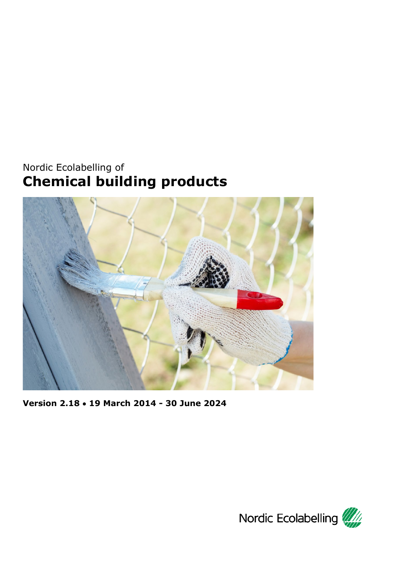# <span id="page-0-0"></span>Nordic Ecolabelling of **Chemical building products**



<span id="page-0-1"></span>**Version 2.18** • **19 March 2014 - 30 June 2024**

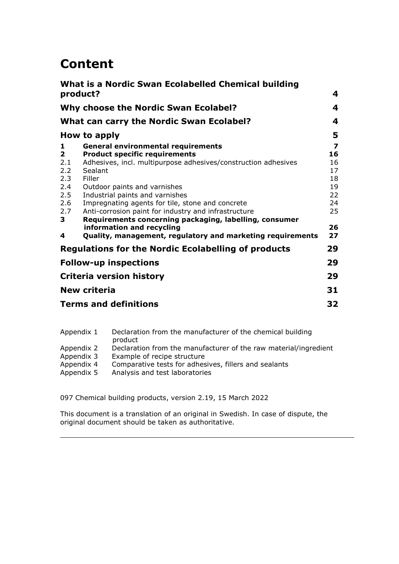# **Content**

| product?                                                                       | What is a Nordic Swan Ecolabelled Chemical building                                                                                                                                                                                                                                                                                                                                                                                                                                                          | 4                                                             |  |
|--------------------------------------------------------------------------------|--------------------------------------------------------------------------------------------------------------------------------------------------------------------------------------------------------------------------------------------------------------------------------------------------------------------------------------------------------------------------------------------------------------------------------------------------------------------------------------------------------------|---------------------------------------------------------------|--|
|                                                                                | Why choose the Nordic Swan Ecolabel?                                                                                                                                                                                                                                                                                                                                                                                                                                                                         |                                                               |  |
|                                                                                | <b>What can carry the Nordic Swan Ecolabel?</b>                                                                                                                                                                                                                                                                                                                                                                                                                                                              | 4                                                             |  |
|                                                                                | How to apply                                                                                                                                                                                                                                                                                                                                                                                                                                                                                                 | 5                                                             |  |
| 1<br>$\overline{2}$<br>2.1<br>2.2<br>2.3<br>2.4<br>2.5<br>2.6<br>2.7<br>3<br>4 | <b>General environmental requirements</b><br><b>Product specific requirements</b><br>Adhesives, incl. multipurpose adhesives/construction adhesives<br>Sealant<br>Filler<br>Outdoor paints and varnishes<br>Industrial paints and varnishes<br>Impregnating agents for tile, stone and concrete<br>Anti-corrosion paint for industry and infrastructure<br>Requirements concerning packaging, labelling, consumer<br>information and recycling<br>Quality, management, regulatory and marketing requirements | 7<br>16<br>16<br>17<br>18<br>19<br>22<br>24<br>25<br>26<br>27 |  |
|                                                                                | <b>Regulations for the Nordic Ecolabelling of products</b>                                                                                                                                                                                                                                                                                                                                                                                                                                                   | 29                                                            |  |
|                                                                                | <b>Follow-up inspections</b>                                                                                                                                                                                                                                                                                                                                                                                                                                                                                 | 29                                                            |  |
|                                                                                | Criteria version history                                                                                                                                                                                                                                                                                                                                                                                                                                                                                     | 29                                                            |  |
| <b>New criteria</b>                                                            |                                                                                                                                                                                                                                                                                                                                                                                                                                                                                                              |                                                               |  |
| <b>Terms and definitions</b>                                                   |                                                                                                                                                                                                                                                                                                                                                                                                                                                                                                              |                                                               |  |

| Appendix 1 | Declaration from the manufacturer of the chemical building<br>product |
|------------|-----------------------------------------------------------------------|
| Appendix 2 | Declaration from the manufacturer of the raw material/ingredient      |
| Appendix 3 | Example of recipe structure                                           |
| Appendix 4 | Comparative tests for adhesives, fillers and sealants                 |
| Appendix 5 | Analysis and test laboratories                                        |
|            |                                                                       |

<span id="page-1-0"></span>097 [Chemical building products,](#page-0-0) version [2.19,](#page-0-1) 15 March 2022

This document is a translation of an original in Swedish. In case of dispute, the original document should be taken as authoritative.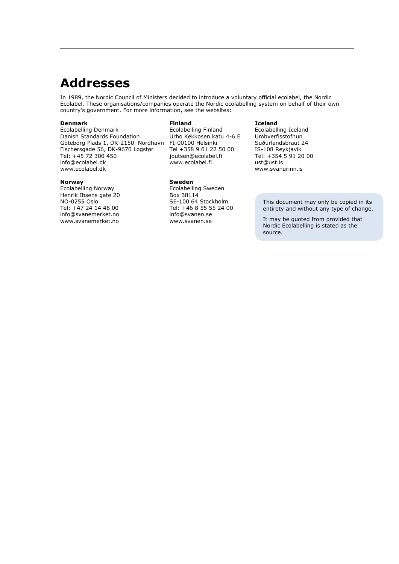## **Addresses**

In 1989, the Nordic Council of Ministers decided to introduce a voluntary official ecolabel, the Nordic Ecolabel. These organisations/companies operate the Nordic ecolabelling system on behalf of their own country's government. For more information, see the websites:

#### **Denmark**

Ecolabelling Denmark Danish Standards Foundation Göteborg Plads 1, DK-2150 Nordhavn Fischersgade 56, DK-9670 Løgstør Tel: +45 72 300 450 info@ecolabel.dk www.ecolabel.dk

#### **Norway**

Ecolabelling Norway Henrik Ibsens gate 20 NO-0255 Oslo Tel: +47 24 14 46 00 info@svanemerket.no www.svanemerket.no

#### **Finland**

Ecolabelling Finland Urho Kekkosen katu 4-6 E FI-00100 Helsinki Tel +358 9 61 22 50 00 joutsen@ecolabel.fi www.ecolabel.fi

#### **Sweden**

Ecolabelling Sweden Box 38114 SE-100 64 Stockholm Tel: +46 8 55 55 24 00 info@svanen.se www.svanen.se

#### **Iceland**

Ecolabelling Iceland Umhverfisstofnun Suðurlandsbraut 24 IS-108 Reykjavik Tel: +354 5 91 20 00 ust@ust.is [www.svanurinn.is](http://www.svanurinn.is/)

> This document may only be copied in its entirety and without any type of change.

It may be quoted from provided that Nordic Ecolabelling is stated as the source.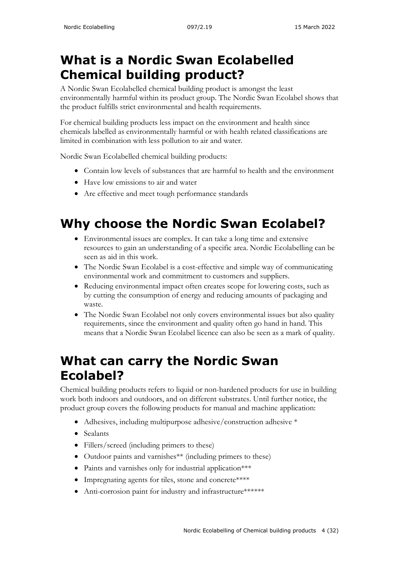# <span id="page-3-0"></span>**What is a Nordic Swan Ecolabelled Chemical building product?**

A Nordic Swan Ecolabelled chemical building product is amongst the least environmentally harmful within its product group. The Nordic Swan Ecolabel shows that the product fulfills strict environmental and health requirements.

For chemical building products less impact on the environment and health since chemicals labelled as environmentally harmful or with health related classifications are limited in combination with less pollution to air and water.

Nordic Swan Ecolabelled chemical building products:

- Contain low levels of substances that are harmful to health and the environment
- Have low emissions to air and water
- Are effective and meet tough performance standards

# <span id="page-3-1"></span>**Why choose the Nordic Swan Ecolabel?**

- Environmental issues are complex. It can take a long time and extensive resources to gain an understanding of a specific area. Nordic Ecolabelling can be seen as aid in this work.
- The Nordic Swan Ecolabel is a cost-effective and simple way of communicating environmental work and commitment to customers and suppliers.
- Reducing environmental impact often creates scope for lowering costs, such as by cutting the consumption of energy and reducing amounts of packaging and waste.
- The Nordic Swan Ecolabel not only covers environmental issues but also quality requirements, since the environment and quality often go hand in hand. This means that a Nordic Swan Ecolabel licence can also be seen as a mark of quality.

# <span id="page-3-2"></span>**What can carry the Nordic Swan Ecolabel?**

Chemical building products refers to liquid or non-hardened products for use in building work both indoors and outdoors, and on different substrates. Until further notice, the product group covers the following products for manual and machine application:

- Adhesives, including multipurpose adhesive/construction adhesive \*
- Sealants
- Fillers/screed (including primers to these)
- Outdoor paints and varnishes<sup>\*\*</sup> (including primers to these)
- Paints and varnishes only for industrial application\*\*\*
- Impregnating agents for tiles, stone and concrete\*\*\*\*
- Anti-corrosion paint for industry and infrastructure\*\*\*\*\*\*\*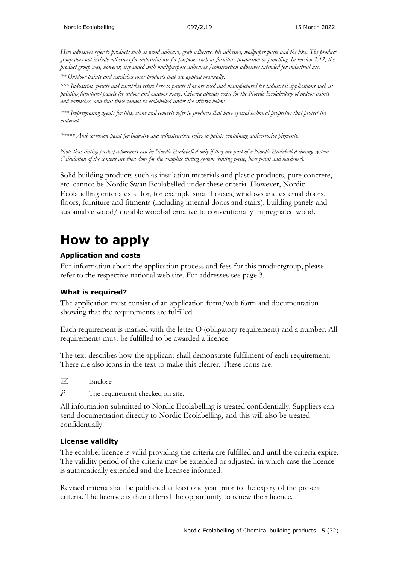*Here adhesives refer to products such as wood adhesive, grab adhesive, tile adhesive, wallpaper paste and the like. The product group does not include adhesives for industrial use for purposes such as furniture production or panelling. In version 2.12, the product group was, however, expanded with multipurpose adhesives /construction adhesives intended for industrial use.*

*\*\* Outdoor paints and varnishes cover products that are applied manually.*

*\*\*\* Industrial paints and varnishes refers here to paints that are used and manufactured for industrial applications such as painting furniture/panels for indoor and outdoor usage. Criteria already exist for the Nordic Ecolabelling of indoor paints and varnishes, and thus these cannot be ecolabelled under the criteria below.* 

*\*\*\* Impregnating agents for tiles, stone and concrete refer to products that have special technical properties that protect the material.*

*\*\*\*\*\* Anti-corrosion paint for industry and infrastructure refers to paints containing anticorrosive pigments.*

*Note that tinting pastes/colourants can be Nordic Ecolabelled only if they are part of a Nordic Ecolabelled tinting system. Calculation of the content are then done for the complete tinting system (tinting paste, base paint and hardener).* 

Solid building products such as insulation materials and plastic products, pure concrete, etc. cannot be Nordic Swan Ecolabelled under these criteria. However, Nordic Ecolabelling criteria exist for, for example small houses, windows and external doors, floors, furniture and fitments (including internal doors and stairs), building panels and sustainable wood/ durable wood-alternative to conventionally impregnated wood.

## <span id="page-4-0"></span>**How to apply**

#### **Application and costs**

For information about the application process and fees for this productgroup, please refer to the respective national web site. For addresses see page 3.

#### **What is required?**

The application must consist of an application form/web form and documentation showing that the requirements are fulfilled.

Each requirement is marked with the letter O (obligatory requirement) and a number. All requirements must be fulfilled to be awarded a licence.

The text describes how the applicant shall demonstrate fulfilment of each requirement. There are also icons in the text to make this clearer. These icons are:

 $\boxtimes$  Enclose

 $\mathcal{L}$ The requirement checked on site.

All information submitted to Nordic Ecolabelling is treated confidentially. Suppliers can send documentation directly to Nordic Ecolabelling, and this will also be treated confidentially.

#### **License validity**

The ecolabel licence is valid providing the criteria are fulfilled and until the criteria expire. The validity period of the criteria may be extended or adjusted, in which case the licence is automatically extended and the licensee informed.

Revised criteria shall be published at least one year prior to the expiry of the present criteria. The licensee is then offered the opportunity to renew their licence.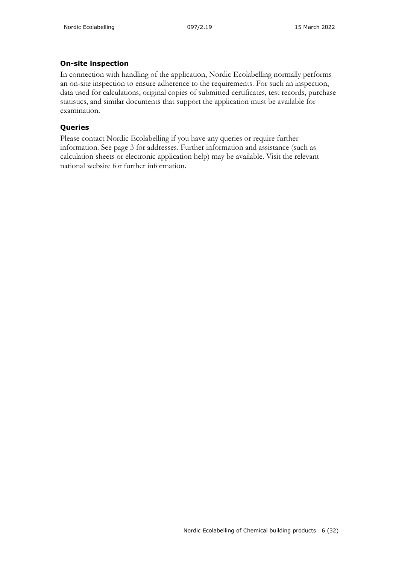#### **On-site inspection**

In connection with handling of the application, Nordic Ecolabelling normally performs an on-site inspection to ensure adherence to the requirements. For such an inspection, data used for calculations, original copies of submitted certificates, test records, purchase statistics, and similar documents that support the application must be available for examination.

### **Queries**

Please contact Nordic Ecolabelling if you have any queries or require further information. See page 3 for addresses. Further information and assistance (such as calculation sheets or electronic application help) may be available. Visit the relevant national website for further information.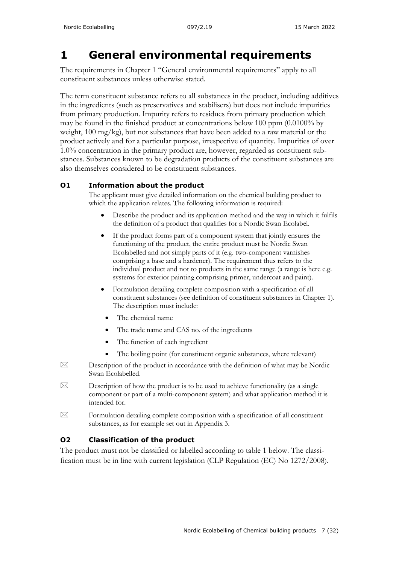## <span id="page-6-0"></span>**1 General environmental requirements**

The requirements in Chapter 1 "General environmental requirements" apply to all constituent substances unless otherwise stated.

The term constituent substance refers to all substances in the product, including additives in the ingredients (such as preservatives and stabilisers) but does not include impurities from primary production. Impurity refers to residues from primary production which may be found in the finished product at concentrations below 100 ppm (0.0100% by weight, 100 mg/kg), but not substances that have been added to a raw material or the product actively and for a particular purpose, irrespective of quantity. Impurities of over 1.0% concentration in the primary product are, however, regarded as constituent substances. Substances known to be degradation products of the constituent substances are also themselves considered to be constituent substances.

### **O1 Information about the product**

The applicant must give detailed information on the chemical building product to which the application relates. The following information is required:

- Describe the product and its application method and the way in which it fulfils the definition of a product that qualifies for a Nordic Swan Ecolabel.
- If the product forms part of a component system that jointly ensures the functioning of the product, the entire product must be Nordic Swan Ecolabelled and not simply parts of it (e.g. two-component varnishes comprising a base and a hardener). The requirement thus refers to the individual product and not to products in the same range (a range is here e.g. systems for exterior painting comprising primer, undercoat and paint).
- Formulation detailing complete composition with a specification of all constituent substances (see definition of constituent substances in Chapter 1). The description must include:
- The chemical name
- The trade name and CAS no. of the ingredients
- The function of each ingredient
- The boiling point (for constituent organic substances, where relevant)
- $\boxtimes$  Description of the product in accordance with the definition of what may be Nordic Swan Ecolabelled.
- $\boxtimes$  Description of how the product is to be used to achieve functionality (as a single component or part of a multi-component system) and what application method it is intended for.
- $\boxtimes$  Formulation detailing complete composition with a specification of all constituent substances, as for example set out in Appendix 3.

### **O2 Classification of the product**

The product must not be classified or labelled according to table 1 below. The classification must be in line with current legislation (CLP Regulation (EC) No 1272/2008).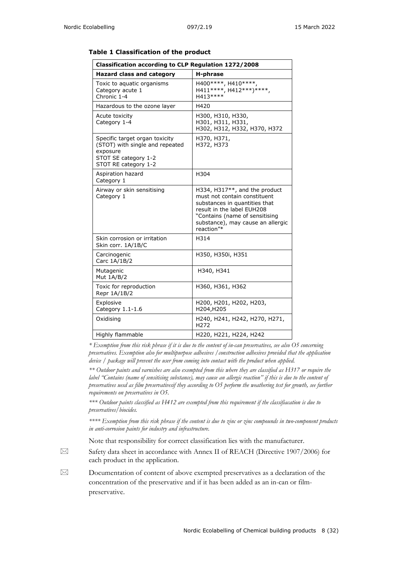| <b>Classification according to CLP Regulation 1272/2008</b>                                                                   |                                                                                                                                                                                                                   |  |  |  |
|-------------------------------------------------------------------------------------------------------------------------------|-------------------------------------------------------------------------------------------------------------------------------------------------------------------------------------------------------------------|--|--|--|
| Hazard class and category                                                                                                     | H-phrase                                                                                                                                                                                                          |  |  |  |
| Toxic to aquatic organisms<br>Category acute 1<br>Chronic 1-4                                                                 | H400 ****, H410 ****,<br>H411 ****, H412 ***) ****,<br>H413 ****                                                                                                                                                  |  |  |  |
| Hazardous to the ozone layer                                                                                                  | H420                                                                                                                                                                                                              |  |  |  |
| Acute toxicity<br>Category 1-4                                                                                                | H300, H310, H330,<br>H301, H311, H331,<br>H302, H312, H332, H370, H372                                                                                                                                            |  |  |  |
| Specific target organ toxicity<br>(STOT) with single and repeated<br>exposure<br>STOT SE category 1-2<br>STOT RE category 1-2 | H370, H371,<br>H372, H373                                                                                                                                                                                         |  |  |  |
| Aspiration hazard<br>Category 1                                                                                               | H304                                                                                                                                                                                                              |  |  |  |
| Airway or skin sensitising<br>Category 1                                                                                      | H334, H317**, and the product<br>must not contain constituent<br>substances in quantities that<br>result in the label EUH208<br>"Contains (name of sensitising<br>substance), may cause an allergic<br>reaction"* |  |  |  |
| Skin corrosion or irritation<br>Skin corr. 1A/1B/C                                                                            | H314                                                                                                                                                                                                              |  |  |  |
| Carcinogenic<br>Carc 1A/1B/2                                                                                                  | H350, H350i, H351                                                                                                                                                                                                 |  |  |  |
| Mutagenic<br>Mut $1A/B/2$                                                                                                     | H340, H341                                                                                                                                                                                                        |  |  |  |
| Toxic for reproduction<br>Repr 1A/1B/2                                                                                        | H360, H361, H362                                                                                                                                                                                                  |  |  |  |
| Explosive<br>Category 1.1-1.6                                                                                                 | H200, H201, H202, H203,<br>H204, H205                                                                                                                                                                             |  |  |  |
| Oxidising                                                                                                                     | H240, H241, H242, H270, H271,<br>H <sub>272</sub>                                                                                                                                                                 |  |  |  |
| Highly flammable                                                                                                              | H220, H221, H224, H242                                                                                                                                                                                            |  |  |  |

#### **Table 1 Classification of the product**

*\* Exemption from this risk phrase if it is due to the content of in-can preservatives, see also O5 concerning preservatives. Exemption also for multipurpose adhesives /construction adhesives provided that the application device / package will prevent the user from coming into contact with the product when applied.*

*\*\* Outdoor paints and varnishes are also exempted from this where they are classified as H317 or require the label "Contains (name of sensitising substance), may cause an allergic reaction" if this is due to the content of preservatives uesd as film preservativesif they according to O5 perform the weathering test for growth, see further requirements on preservatives in O5.*

*\*\*\* Outdoor paints classified as H412 are exempted from this requirement if the classifiacation is due to preservatives/biocides.*

*\*\*\*\* Exemption from this risk phrase if the content is due to zinc or zinc compounds in two-component products in anti-corrosion paints for industry and infrastructure.*

Note that responsibility for correct classification lies with the manufacturer.

 $\boxtimes$  Safety data sheet in accordance with Annex II of REACH (Directive 1907/2006) for each product in the application.

 $\boxtimes$  Documentation of content of above exempted preservatives as a declaration of the concentration of the preservative and if it has been added as an in-can or filmpreservative.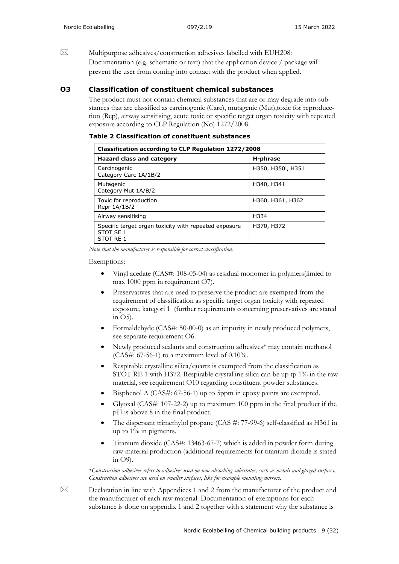$\boxtimes$  Multipurpose adhesives/construction adhesives labelled with EUH208: Documentation (e.g. schematic or text) that the application device / package will prevent the user from coming into contact with the product when applied.

#### **O3 Classification of constituent chemical substances**

The product must not contain chemical substances that are or may degrade into substances that are classified as carcinogenic (Carc), mutagenic (Mut),toxic for reproducetion (Rep), airway sensitising, acute toxic or specific target organ toxicity with repeated exposure according to CLP Regulation (No) 1272/2008.

| Table 2 Classification of constituent substances |
|--------------------------------------------------|
|                                                  |

| Classification according to CLP Regulation 1272/2008                            |                   |  |  |  |
|---------------------------------------------------------------------------------|-------------------|--|--|--|
| Hazard class and category                                                       | H-phrase          |  |  |  |
| Carcinogenic<br>Category Carc 1A/1B/2                                           | H350, H350i, H351 |  |  |  |
| Mutagenic<br>Category Mut 1A/B/2                                                | H340, H341        |  |  |  |
| Toxic for reproduction<br>Repr 1A/1B/2                                          | H360, H361, H362  |  |  |  |
| Airway sensitising                                                              | H334              |  |  |  |
| Specific target organ toxicity with repeated exposure<br>STOT SE 1<br>STOT RE 1 | H370, H372        |  |  |  |

*Note that the manufacturer is responsible for correct classification.*

#### Exemptions:

- Vinyl acedate (CAS#: 108-05-04) as residual monomer in polymers(limied to max 1000 ppm in requirement O7).
- Preservatives that are used to preserve the product are exempted from the requirement of classification as specific target organ toxicity with repeated exposure, kategori 1 (further requirements concerning preservatives are stated in  $O5$ ).
- Formaldehyde (CAS#: 50-00-0) as an impurity in newly produced polymers, see separate requirement O6.
- Newly produced sealants and construction adhesives\* may contain methanol  $(CAS#: 67-56-1)$  to a maximum level of  $0.10\%$ .
- Respirable crystalline silica/quartz is exempted from the classification as STOT RE 1 with H372. Respirable crystalline silica can be up tp 1% in the raw material, see requirement O10 regarding constituent powder substances.
- Bisphenol A (CAS#: 67-56-1) up to 5ppm in epoxy paints are exempted.
- Glyoxal (CAS#: 107-22-2) up to maximum 100 ppm in the final product if the pH is above 8 in the final product.
- The dispersant trimethylol propane (CAS #: 77-99-6) self-classified as H361 in up to 1% in pigments.
- Titanium dioxide (CAS#: 13463-67-7) which is added in powder form during raw material production (additional requirements for titanium dioxide is stated in O9).

*\*Construction adhesives refers to adhesives used on non-absorbing substrates, such as metals and glazed surfaces. Construction adhesives are used on smaller surfaces, like for example mounting mirrors.*

 $\boxtimes$  Declaration in line with Appendices 1 and 2 from the manufacturer of the product and the manufacturer of each raw material. Documentation of exemptions for each substance is done on appendix 1 and 2 together with a statement why the substance is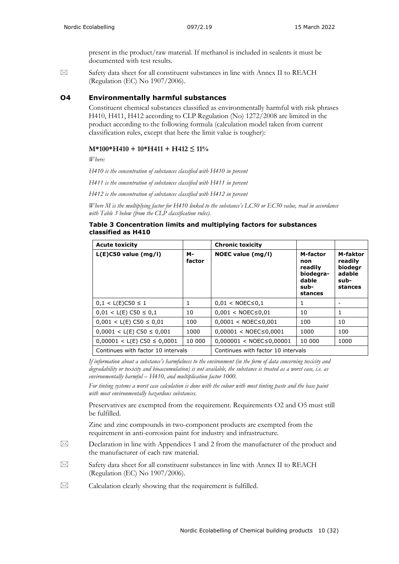present in the product/raw material. If methanol is included in sealents it must be documented with test results.

 $\boxtimes$  Safety data sheet for all constituent substances in line with Annex II to REACH (Regulation (EC) No 1907/2006).

#### **O4 Environmentally harmful substances**

Constituent chemical substances classified as environmentally harmful with risk phrases H410, H411, H412 according to CLP Regulation (No) 1272/2008 are limited in the product according to the following formula (calculation model taken from current classification rules, except that here the limit value is tougher):

#### **M\*100\*H410 + 10\*H411 + H412 ≤ 11%**

*Where:*

*H410 is the concentration of substances classified with H410 in percent*

*H411 is the concentration of substances classified with H411 in percent*

*H412 is the concentration of substances classified with H412 in percent*

*Where M is the multiplying factor for H410 linked to the substance's LC50 or EC50 value, read in accordance with Table 3 below (from the CLP classification rules).* 

#### **Table 3 Concentration limits and multiplying factors for substances classified as H410**

| <b>Acute toxicity</b>              |              | <b>Chronic toxicity</b>            |                                                                     |                                                             |
|------------------------------------|--------------|------------------------------------|---------------------------------------------------------------------|-------------------------------------------------------------|
| $L(E)$ C50 value (mg/l)            | м-<br>factor | NOEC value (mg/l)                  | M-factor<br>non<br>readily<br>biodegra-<br>dable<br>sub-<br>stances | M-faktor<br>readily<br>biodegr<br>adable<br>sub-<br>stances |
| $0,1 < L(E)$ C50 $\leq 1$          | 1            | $0.01 < NOEC \le 0.1$              | 1                                                                   |                                                             |
| $0.01 < L(E) C50 \le 0.1$          | 10           | $0.001 < NOEC \le 0.01$            | 10                                                                  | 1                                                           |
| $0.001 < L(E)$ C50 $\leq 0.01$     | 100          | $0,0001 < NOEC \le 0,001$          | 100                                                                 | 10                                                          |
| $0,0001 < L(E)$ C50 $\leq 0,001$   | 1000         | $0.00001 < NOEC \le 0.0001$        | 1000                                                                | 100                                                         |
| $0,00001 < L(E)$ C50 $\leq 0,0001$ | 10 000       | $0.000001 < NOEC \le 0.00001$      | 10 000                                                              | 1000                                                        |
| Continues with factor 10 intervals |              | Continues with factor 10 intervals |                                                                     |                                                             |

*If information about a substance's harmfulness to the environment (in the form of data concerning toxicity and degradability or toxicity and bioaccumulation) is not available, the substance is treated as a worst case, i.e. as environmentally harmful – H410, and multiplication factor 1000.*

*For tinting systems a worst case calculation is done with the colour with most tinting paste and the base paint with most environmentally hazardous substances.*

Preservatives are exempted from the requirement. Requirements O2 and O5 must still be fulfilled.

Zinc and zinc compounds in two-component products are exempted from the requirement in anti-corrosion paint for industry and infrastructure.

 $\boxtimes$  Declaration in line with Appendices 1 and 2 from the manufacturer of the product and the manufacturer of each raw material.

 $\boxtimes$  Safety data sheet for all constituent substances in line with Annex II to REACH (Regulation (EC) No 1907/2006).

 $\boxtimes$  Calculation clearly showing that the requirement is fulfilled.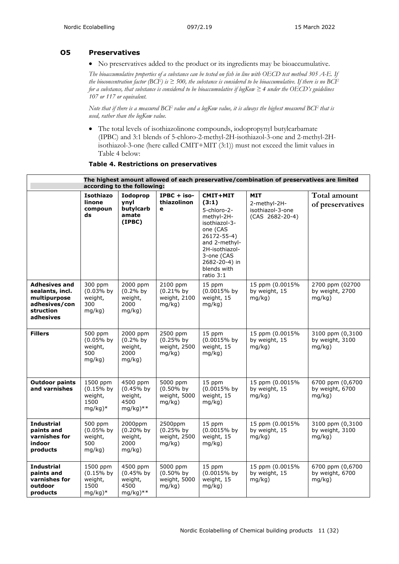#### **O5 Preservatives**

• No preservatives added to the product or its ingredients may be bioaccumulative.

*The bioaccumulative properties of a substance can be tested on fish in line with OECD test method 305 A-E. If the bioconcentration factor (BCF) is*  $\geq$  500, the substance is considered to be bioaccumulative. If there is no BCF *for a substance, that substance is considered to be bioaccumulative if logKow ≥ 4 under the OECD's guidelines 107 or 117 or equivalent.* 

*Note that if there is a measured BCF value and a logKow value, it is always the highest measured BCF that is used, rather than the logKow value.*

• The total levels of isothiazolinone compounds, iodopropynyl butylcarbamate (IPBC) and 3:1 blends of 5-chloro-2-methyl-2H-isothiazol-3-one and 2-methyl-2Hisothiazol-3-one (here called CMIT+MIT (3:1)) must not exceed the limit values in Table 4 below:

|  |  |  | Table 4. Restrictions on preservatives |
|--|--|--|----------------------------------------|
|--|--|--|----------------------------------------|

| The highest amount allowed of each preservative/combination of preservatives are limited<br>according to the following: |                                                         |                                                          |                                                    |                                                                                                                                                                                          |                                                                     |                                               |
|-------------------------------------------------------------------------------------------------------------------------|---------------------------------------------------------|----------------------------------------------------------|----------------------------------------------------|------------------------------------------------------------------------------------------------------------------------------------------------------------------------------------------|---------------------------------------------------------------------|-----------------------------------------------|
|                                                                                                                         | <b>Isothiazo</b><br>linone<br>compoun<br>ds             | Iodoprop<br>ynyl<br>butylcarb<br>amate<br>(IPBC)         | $IPBC + iso-$<br>thiazolinon<br>$\mathbf{e}$       | CMIT+MIT<br>(3:1)<br>5-chloro-2-<br>methyl-2H-<br>isothiazol-3-<br>one (CAS<br>26172-55-4)<br>and 2-methyl-<br>2H-isothiazol-<br>3-one (CAS<br>2682-20-4) in<br>blends with<br>ratio 3:1 | <b>MIT</b><br>2-methyl-2H-<br>isothiazol-3-one<br>$(CAS 2682-20-4)$ | Total amount<br>of preservatives              |
| <b>Adhesives and</b><br>sealants, incl.<br>multipurpose<br>adhesives/con<br>struction<br>adhesives                      | 300 ppm<br>$(0.03%$ by<br>weight,<br>300<br>mq/kg)      | 2000 ppm<br>$(0.2%$ by<br>weight,<br>2000<br>mq/kg)      | 2100 ppm<br>$(0.21\%$ by<br>weight, 2100<br>mg/kg) | 15 ppm<br>(0.0015% by<br>weight, 15<br>mg/kg)                                                                                                                                            | 15 ppm (0.0015%<br>by weight, 15<br>mq/kg)                          | 2700 ppm (02700<br>by weight, 2700<br>mq/kg)  |
| <b>Fillers</b>                                                                                                          | 500 ppm<br>$(0.05%$ by<br>weight,<br>500<br>mg/kg)      | 2000 ppm<br>$(0.2%$ by<br>weight,<br>2000<br>mg/kg)      | 2500 ppm<br>$(0.25%$ by<br>weight, 2500<br>mg/kg)  | 15 ppm<br>(0.0015% by<br>weight, 15<br>mg/kg)                                                                                                                                            | 15 ppm (0.0015%<br>by weight, 15<br>mg/kg)                          | 3100 ppm (0,3100<br>by weight, 3100<br>mg/kg) |
| <b>Outdoor paints</b><br>and varnishes                                                                                  | 1500 ppm<br>$(0.15%$ by<br>weight,<br>1500<br>$mg/kg)*$ | 4500 ppm<br>$(0.45%$ by<br>weight,<br>4500<br>$mg/kg)**$ | 5000 ppm<br>$(0.50\%$ by<br>weight, 5000<br>mq/kg) | 15 ppm<br>(0.0015% by<br>weight, 15<br>mg/kg)                                                                                                                                            | 15 ppm (0.0015%<br>by weight, 15<br>mg/kg)                          | 6700 ppm (0,6700<br>by weight, 6700<br>mg/kg) |
| <b>Industrial</b><br>paints and<br>varnishes for<br>indoor<br>products                                                  | 500 ppm<br>$(0.05%$ by<br>weight,<br>500<br>mq/kg)      | 2000ppm<br>$(0.20%$ by<br>weight,<br>2000<br>mq/kg)      | 2500ppm<br>$(0.25%$ by<br>weight, 2500<br>mg/kg)   | 15 ppm<br>(0.0015% by<br>weight, 15<br>mg/kg)                                                                                                                                            | 15 ppm (0.0015%<br>by weight, 15<br>mq/kg)                          | 3100 ppm (0,3100<br>by weight, 3100<br>mg/kg) |
| <b>Industrial</b><br>paints and<br>varnishes for<br>outdoor<br>products                                                 | 1500 ppm<br>$(0.15%$ by<br>weight,<br>1500<br>$mg/kg)*$ | 4500 ppm<br>(0.45% by<br>weight,<br>4500<br>mg/kg)**     | 5000 ppm<br>$(0.50\%$ by<br>weight, 5000<br>mg/kg) | 15 ppm<br>(0.0015% by<br>weight, 15<br>mq/kg)                                                                                                                                            | 15 ppm (0.0015%<br>by weight, 15<br>mg/kg)                          | 6700 ppm (0,6700<br>by weight, 6700<br>mg/kg) |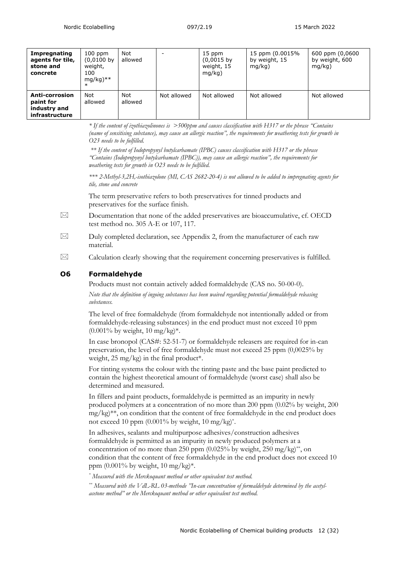| Impregnating<br>agents for tile,<br>stone and<br>concrete     | $100$ ppm<br>$(0,0100$ by<br>weight,<br>100<br>$mg/kg)$ **<br>$\ast$ | Not<br>allowed |             | 15 ppm<br>$(0,0015$ by<br>weight, 15<br>mq/kg) | 15 ppm (0.0015%<br>by weight, 15<br>mq/kg) | 600 ppm (0,0600<br>by weight, 600<br>mq/kg) |
|---------------------------------------------------------------|----------------------------------------------------------------------|----------------|-------------|------------------------------------------------|--------------------------------------------|---------------------------------------------|
| Anti-corrosion<br>paint for<br>industry and<br>infrastructure | Not<br>allowed                                                       | Not<br>allowed | Not allowed | Not allowed                                    | Not allowed                                | Not allowed                                 |

*\* If the content of izothiazolinones is >500ppm and causes classification with H317 or the phrase "Contains (name of sensitising substance), may cause an allergic reaction", the requirements for weathering tests for growth in O23 needs to be fulfilled.*

*\*\* If the content of Iodopropynyl butylcarbamate (IPBC) causes classification with H317 or the phrase "Contains (Iodopropynyl butylcarbamate (IPBC)), may cause an allergic reaction", the requirements for weathering tests for growth in O23 needs to be fulfilled.*

*\*\*\* 2-Methyl-3,2H,-isothiazolone (MI, CAS 2682-20-4) is not allowed to be added to impregnating agents for tile, stone and concrete*

The term preservative refers to both preservatives for tinned products and preservatives for the surface finish.

- $\boxtimes$  Documentation that none of the added preservatives are bioaccumulative, cf. OECD test method no. 305 A-E or 107, 117.
- $\boxtimes$  Duly completed declaration, see Appendix 2, from the manufacturer of each raw material.
- $\boxtimes$  Calculation clearly showing that the requirement concerning preservatives is fulfilled.

#### **O6 Formaldehyde**

Products must not contain actively added formaldehyde (CAS no. 50-00-0).

*Note that the definition of ingoing substances has been waived regarding potential formaldehyde releasing substances.*

The level of free formaldehyde (from formaldehyde not intentionally added or from formaldehyde-releasing substances) in the end product must not exceed 10 ppm  $(0.001\% \text{ by weight}, 10 \text{ mg/kg})^*$ .

In case bronopol (CAS#: 52-51-7) or formaldehyde releasers are required for in-can preservation, the level of free formaldehyde must not exceed 25 ppm (0,0025% by weight,  $25 \text{ mg/kg}$  in the final product<sup>\*</sup>.

For tinting systems the colour with the tinting paste and the base paint predicted to contain the highest theoretical amount of formaldehyde (worst case) shall also be determined and measured.

In fillers and paint products, formaldehyde is permitted as an impurity in newly produced polymers at a concentration of no more than 200 ppm (0.02% by weight, 200 mg/kg)\*\*, on condition that the content of free formaldehyde in the end product does not exceed 10 ppm  $(0.001\%$  by weight, 10 mg/kg $)^*$ .

In adhesives, sealants and multipurpose adhesives/construction adhesives formaldehyde is permitted as an impurity in newly produced polymers at a concentration of no more than 250 ppm  $(0.025\%$  by weight, 250 mg/kg)<sup>\*\*</sup>, on condition that the content of free formaldehyde in the end product does not exceed 10 ppm (0.001% by weight, 10 mg/kg)\*.

*\* Measured with the Merckoquant method or other equivalent test method.* 

*\*\* Measured with the VdL-RL 03-methode "In-can concentration of formaldehyde determined by the acetylacetone method" or the Merckoquant method or other equivalent test method.*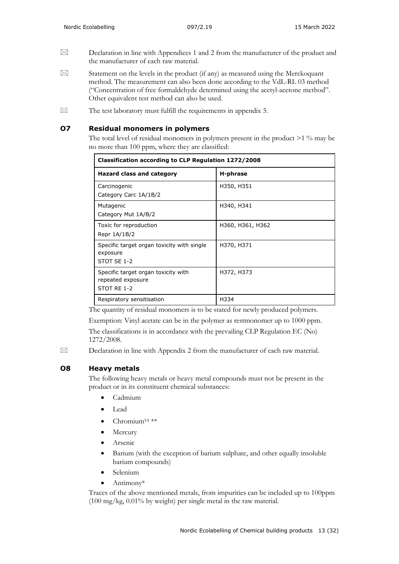- $\boxtimes$  Declaration in line with Appendices 1 and 2 from the manufacturer of the product and the manufacturer of each raw material.
- $\boxtimes$  Statement on the levels in the product (if any) as measured using the Merckoquant method. The measurement can also been done according to the VdL-RL 03 method ("Concentration of free formaldehyde determined using the acetyl-acetone method". Other equivalent test method can also be used.
- $\boxtimes$  The test laboratory must fulfill the requirements in appendix 5.

#### **O7 Residual monomers in polymers**

The total level of residual monomers in polymers present in the product >1 % may be no more than 100 ppm, where they are classified:

| Classification according to CLP Regulation 1272/2008                    |                  |  |  |  |
|-------------------------------------------------------------------------|------------------|--|--|--|
| Hazard class and category                                               | H-phrase         |  |  |  |
| Carcinogenic<br>Category Carc 1A/1B/2                                   | H350, H351       |  |  |  |
| Mutagenic<br>Category Mut 1A/B/2                                        | H340, H341       |  |  |  |
| Toxic for reproduction<br>Repr 1A/1B/2                                  | H360, H361, H362 |  |  |  |
| Specific target organ toxicity with single<br>exposure<br>STOT SE 1-2   | H370, H371       |  |  |  |
| Specific target organ toxicity with<br>repeated exposure<br>STOT RE 1-2 | H372, H373       |  |  |  |
| Respiratory sensitisation                                               | H334             |  |  |  |

The quantity of residual monomers is to be stated for newly produced polymers.

Exemption: Vinyl acetate can be in the polymer as restmonomer up to 1000 ppm.

The classifications is in accordance with the prevailing CLP Regulation EC (No) 1272/2008.

 $\boxtimes$  Declaration in line with Appendix 2 from the manufacturer of each raw material.

#### **O8 Heavy metals**

The following heavy metals or heavy metal compounds must not be present in the product or in its constituent chemical substances:

- Cadmium
- Lead
- Chromium<sup>VI \*\*</sup>
- Mercury
- Arsenic
- Barium (with the exception of barium sulphate, and other equally insoluble barium compounds)
- Selenium
- Antimony\*

Traces of the above mentioned metals, from impurities can be included up to 100ppm (100 mg/kg, 0.01% by weight) per single metal in the raw material.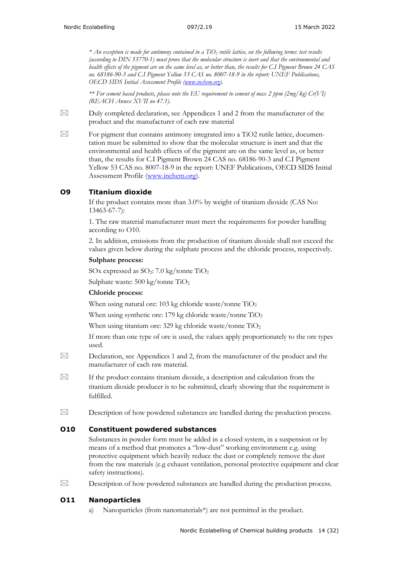*\* An exception is made for antimony contained in a TiO2 rutile lattice, on the following terms: test results (according to DIN 53770-1) must prove that the molecular structure is inert and that the environmental and health effects of the pigment are on the same level as, or better than, the results for C.I Pigment Brown 24 CAS no. 68186-90-3 and C.I Pigment Yellow 53 CAS no. 8007-18-9 in the report: UNEF Publications, OECD SIDS Initial Assessment Profile [\(www.inchem.org\)](http://www.inchem.org/).*

*\*\* For cement based products, please note the EU requirement to cement of max 2 ppm (2mg/kg) Cr(VI) (REACH Annex XVII no 47.1).*

 $\boxtimes$  Duly completed declaration, see Appendices 1 and 2 from the manufacturer of the product and the manufacturer of each raw material

 $\boxtimes$  For pigment that contains antimony integrated into a TiO2 rutile lattice, documentation must be submitted to show that the molecular structure is inert and that the environmental and health effects of the pigment are on the same level as, or better than, the results for C.I Pigment Brown 24 CAS no. 68186-90-3 and C.I Pigment Yellow 53 CAS no. 8007-18-9 in the report: UNEF Publications, OECD SIDS Initial Assessment Profile [\(www.inchem.org\)](http://www.inchem.org/).

#### **O9 Titanium dioxide**

If the product contains more than 3.0% by weight of titanium dioxide (CAS No: 13463-67-7):

1. The raw material manufacturer must meet the requirements for powder handling according to O10.

2. In addition, emissions from the production of titanium dioxide shall not exceed the values given below during the sulphate process and the chloride process, respectively.

#### **Sulphate process:**

SOx expressed as  $SO_2$ : 7.0 kg/tonne  $TiO_2$ 

Sulphate waste: 500 kg/tonne TiO2

#### **Chloride process:**

When using natural ore: 103 kg chloride waste/tonne  $TiO<sub>2</sub>$ 

When using synthetic ore: 179 kg chloride waste/tonne TiO<sub>2</sub>

When using titanium ore: 329 kg chloride waste/tonne TiO<sub>2</sub>

If more than one type of ore is used, the values apply proportionately to the ore types used.

 $\boxtimes$  Declaration, see Appendices 1 and 2, from the manufacturer of the product and the manufacturer of each raw material.

 $\boxtimes$  If the product contains titanium dioxide, a description and calculation from the titanium dioxide producer is to be submitted, clearly showing that the requirement is fulfilled.

 $\boxtimes$  Description of how powdered substances are handled during the production process.

#### **O10 Constituent powdered substances**

Substances in powder form must be added in a closed system, in a suspension or by means of a method that promotes a "low-dust" working environment e.g. using protective equipment which heavily reduce the dust or completely remove the dust from the raw materials (e.g exhaust ventilation, personal protective equipment and clear safety instructions).

 $\boxtimes$  Description of how powdered substances are handled during the production process.

#### **O11 Nanoparticles**

Nanoparticles (from nanomaterials\*) are not permitted in the product.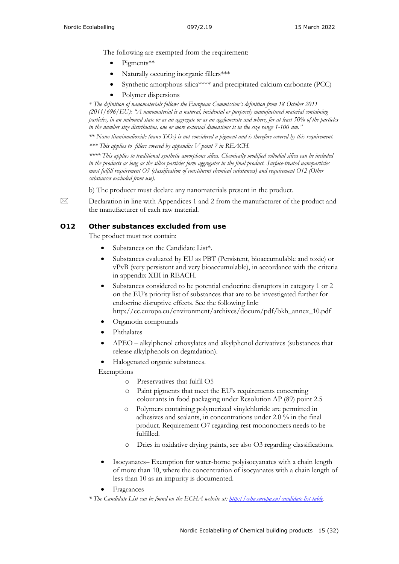The following are exempted from the requirement:

- Pigments\*\*
- Naturally occuring inorganic fillers\*\*\*
- Synthetic amorphous silica\*\*\*\* and precipitated calcium carbonate (PCC)
- Polymer dispersions

*\* The definition of nanomaterials follows the European Commission's definition from 18 October 2011 (2011/696/EU): "A nanomaterial is a natural, incidental or purposely manufactured material containing particles, in an unbound state or as an aggregate or as an agglomerate and where, for at least 50% of the particles in the number size distribution, one or more external dimensions is in the size range 1-100 nm."*

*\*\* Nano-titaniumdioxide (nano-TiO2) is not considered a pigment and is therefore covered by this requirement.*

*\*\*\* This applies to fillers covered by appendix V point 7 in REACH.*

*\*\*\*\* This applies to traditional synthetic amorphous silica. Chemically modified collodial silica can be included in the products as long as the silica particles form aggregates in the final product. Surface-treated nanoparticles must fulfill requirement O3 (classification of constituent chemical substances) and requirement O12 (Other substances excluded from use).*

b) The producer must declare any nanomaterials present in the product.

 $\boxtimes$  Declaration in line with Appendices 1 and 2 from the manufacturer of the product and the manufacturer of each raw material.

#### **O12 Other substances excluded from use**

The product must not contain:

- Substances on the Candidate List\*.
- Substances evaluated by EU as PBT (Persistent, bioaccumulable and toxic) or vPvB (very persistent and very bioaccumulable), in accordance with the criteria in appendix XIII in REACH.
- Substances considered to be potential endocrine disruptors in category 1 or 2 on the EU's priority list of substances that are to be investigated further for endocrine disruptive effects. See the following link: http://ec.europa.eu/environment/archives/docum/pdf/bkh\_annex\_10.pdf
- Organotin compounds
- Phthalates
- APEO alkylphenol ethoxylates and alkylphenol derivatives (substances that release alkylphenols on degradation).
- Halogenated organic substances.

Exemptions

- o Preservatives that fulfil O5
- o Paint pigments that meet the EU's requirements concerning colourants in food packaging under Resolution AP (89) point 2.5
- o Polymers containing polymerized vinylchloride are permitted in adhesives and sealants, in concentrations under 2.0 % in the final product. Requirement O7 regarding rest mononomers needs to be fulfilled.
- o Dries in oxidative drying paints, see also O3 regarding classifications.
- Isocyanates– Exemption for water-borne polyisocyanates with a chain length of more than 10, where the concentration of isocyanates with a chain length of less than 10 as an impurity is documented.
- **Fragrances**

*\* The Candidate List can be found on the ECHA website at: [http://echa.europa.eu/candidate-list-table.](http://echa.europa.eu/candidate-list-table)*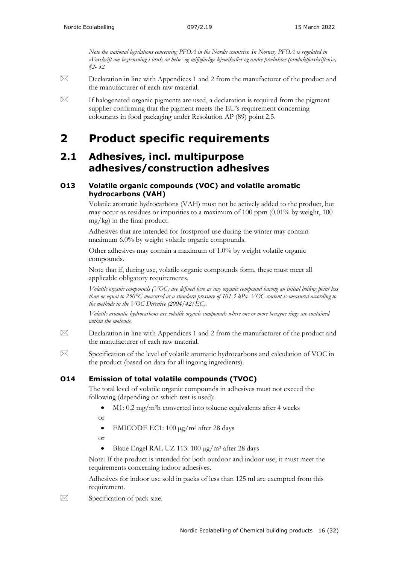*Note the national legislations concerning PFOA in the Nordic countries. In Norway PFOA is regulated in «Forskrift om begrensning i bruk av helse- og miljøfarlige kjemikalier og andre produkter (produktforskriften)», §2- 32.*

- $\boxtimes$  Declaration in line with Appendices 1 and 2 from the manufacturer of the product and the manufacturer of each raw material.
- $\boxtimes$  If halogenated organic pigments are used, a declaration is required from the pigment supplier confirming that the pigment meets the EU's requirement concerning colourants in food packaging under Resolution AP (89) point 2.5.

## <span id="page-15-0"></span>**2 Product specific requirements**

### <span id="page-15-1"></span>**2.1 Adhesives, incl. multipurpose adhesives/construction adhesives**

#### **O13 Volatile organic compounds (VOC) and volatile aromatic hydrocarbons (VAH)**

Volatile aromatic hydrocarbons (VAH) must not be actively added to the product, but may occur as residues or impurities to a maximum of  $100$  ppm  $(0.01\%$  by weight,  $100$ mg/kg) in the final product.

Adhesives that are intended for frostproof use during the winter may contain maximum 6.0% by weight volatile organic compounds.

Other adhesives may contain a maximum of 1.0% by weight volatile organic compounds.

Note that if, during use, volatile organic compounds form, these must meet all applicable obligatory requirements.

*Volatile organic compounds (VOC) are defined here as any organic compound having an initial boiling point less than or equal to 250°C measured at a standard pressure of 101.3 kPa. VOC content is measured according to the methods in the VOC Directive (2004/42/EC).*

*Volatile aromatic hydrocarbons are volatile organic compounds where one or more benzene rings are contained within the molecule.* 

- $\boxtimes$  Declaration in line with Appendices 1 and 2 from the manufacturer of the product and the manufacturer of each raw material.
- $\boxtimes$  Specification of the level of volatile aromatic hydrocarbons and calculation of VOC in the product (based on data for all ingoing ingredients).

### **O14 Emission of total volatile compounds (TVOC)**

The total level of volatile organic compounds in adhesives must not exceed the following (depending on which test is used):

- M1:  $0.2 \text{ mg/m}$ <sup>2</sup>h converted into toluene equivalents after 4 weeks
- or
- EMICODE EC1:  $100 \mu g/m^3$  after 28 days
- or
- Blaue Engel RAL UZ 113:  $100 \mu g/m^3$  after 28 days

Note: If the product is intended for both outdoor and indoor use, it must meet the requirements concerning indoor adhesives.

Adhesives for indoor use sold in packs of less than 125 ml are exempted from this requirement.

 $\boxtimes$  Specification of pack size.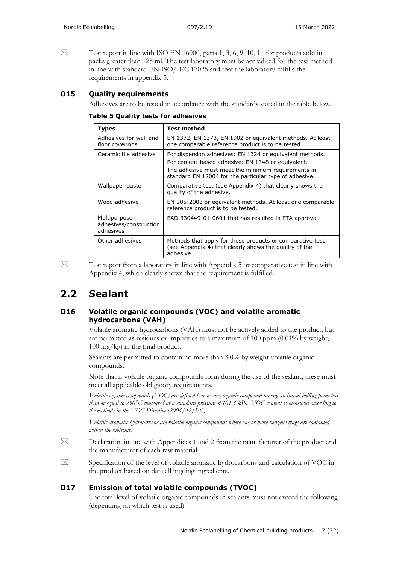$\boxtimes$  Test report in line with ISO EN 16000, parts 1, 3, 6, 9, 10, 11 for products sold in packs greater than 125 ml. The test laboratory must be accredited for the test method in line with standard EN ISO/IEC 17025 and that the laboratory fulfills the requirements in appendix 5.

#### **O15 Quality requirements**

Adhesives are to be tested in accordance with the standards stated in the table below.

| Types                                               | <b>Test method</b>                                                                                                                                                                                                            |
|-----------------------------------------------------|-------------------------------------------------------------------------------------------------------------------------------------------------------------------------------------------------------------------------------|
| Adhesives for wall and<br>floor coverings           | EN 1372, EN 1373, EN 1902 or equivalent methods. At least<br>one comparable reference product is to be tested.                                                                                                                |
| Ceramic tile adhesive                               | For dispersion adhesives: EN 1324 or equivalent methods.<br>For cement-based adhesive: EN 1348 or equivalent.<br>The adhesive must meet the minimum requirements in<br>standard EN 12004 for the particular type of adhesive. |
| Wallpaper paste                                     | Comparative test (see Appendix 4) that clearly shows the<br>quality of the adhesive.                                                                                                                                          |
| Wood adhesive                                       | EN 205:2003 or equivalent methods. At least one comparable<br>reference product is to be tested.                                                                                                                              |
| Multipurpose<br>adhesives/construction<br>adhesives | EAD 330449-01-0601 that has resulted in ETA approval.                                                                                                                                                                         |
| Other adhesives                                     | Methods that apply for these products or comparative test<br>(see Appendix 4) that clearly shows the quality of the<br>adhesive.                                                                                              |

 $\boxtimes$  Test report from a laboratory in line with Appendix 5 or comparative test in line with Appendix 4, which clearly shows that the requirement is fulfilled.

## <span id="page-16-0"></span>**2.2 Sealant**

#### **O16 Volatile organic compounds (VOC) and volatile aromatic hydrocarbons (VAH)**

Volatile aromatic hydrocarbons (VAH) must not be actively added to the product, but are permitted as residues or impurities to a maximum of 100 ppm (0.01% by weight, 100 mg/kg) in the final product.

Sealants are permitted to contain no more than 3.0% by weight volatile organic compounds.

Note that if volatile organic compounds form during the use of the sealant, these must meet all applicable obligatory requirements.

*Volatile organic compounds (VOC) are defined here as any organic compound having an initial boiling point less than or equal to 250°C measured at a standard pressure of 101.3 kPa. VOC content is measured according to the methods in the VOC Directive (2004/42/EC).*

*Volatile aromatic hydrocarbons are volatile organic compounds where one or more benzene rings are contained within the molecule.*

- $\boxtimes$  Declaration in line with Appendices 1 and 2 from the manufacturer of the product and the manufacturer of each raw material.
- $\boxtimes$  Specification of the level of volatile aromatic hydrocarbons and calculation of VOC in the product based on data all ingoing ingredients.

#### **O17 Emission of total volatile compounds (TVOC)**

The total level of volatile organic compounds in sealants must not exceed the following (depending on which test is used):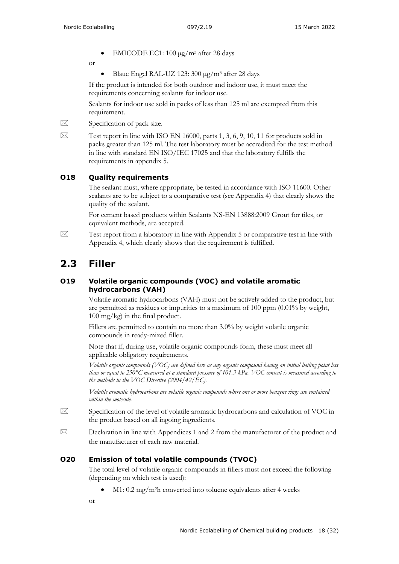• EMICODE EC1: 100 µg/m3 after 28 days

or

• Blaue Engel RAL-UZ 123:  $300 \mu g/m^3$  after 28 days

If the product is intended for both outdoor and indoor use, it must meet the requirements concerning sealants for indoor use.

Sealants for indoor use sold in packs of less than 125 ml are exempted from this requirement.

 $\boxtimes$  Specification of pack size.

 $\boxtimes$  Test report in line with ISO EN 16000, parts 1, 3, 6, 9, 10, 11 for products sold in packs greater than 125 ml. The test laboratory must be accredited for the test method in line with standard EN ISO/IEC 17025 and that the laboratory fulfills the requirements in appendix 5.

#### **O18 Quality requirements**

The sealant must, where appropriate, be tested in accordance with ISO 11600. Other sealants are to be subject to a comparative test (see Appendix 4) that clearly shows the quality of the sealant.

For cement based products within Sealants NS-EN 13888:2009 Grout for tiles, or equivalent methods, are accepted.

 $\boxtimes$  Test report from a laboratory in line with Appendix 5 or comparative test in line with Appendix 4, which clearly shows that the requirement is fulfilled.

## <span id="page-17-0"></span>**2.3 Filler**

#### **O19 Volatile organic compounds (VOC) and volatile aromatic hydrocarbons (VAH)**

Volatile aromatic hydrocarbons (VAH) must not be actively added to the product, but are permitted as residues or impurities to a maximum of  $100$  ppm  $(0.01\%$  by weight, 100 mg/kg) in the final product.

Fillers are permitted to contain no more than 3.0% by weight volatile organic compounds in ready-mixed filler.

Note that if, during use, volatile organic compounds form, these must meet all applicable obligatory requirements.

*Volatile organic compounds (VOC) are defined here as any organic compound having an initial boiling point less than or equal to 250°C measured at a standard pressure of 101.3 kPa. VOC content is measured according to the methods in the VOC Directive (2004/42/EC).*

*Volatile aromatic hydrocarbons are volatile organic compounds where one or more benzene rings are contained within the molecule.*

- $\boxtimes$  Specification of the level of volatile aromatic hydrocarbons and calculation of VOC in the product based on all ingoing ingredients.
- $\boxtimes$  Declaration in line with Appendices 1 and 2 from the manufacturer of the product and the manufacturer of each raw material.

#### **O20 Emission of total volatile compounds (TVOC)**

The total level of volatile organic compounds in fillers must not exceed the following (depending on which test is used):

 $M1: 0.2$  mg/m<sup>2</sup>h converted into toluene equivalents after 4 weeks

or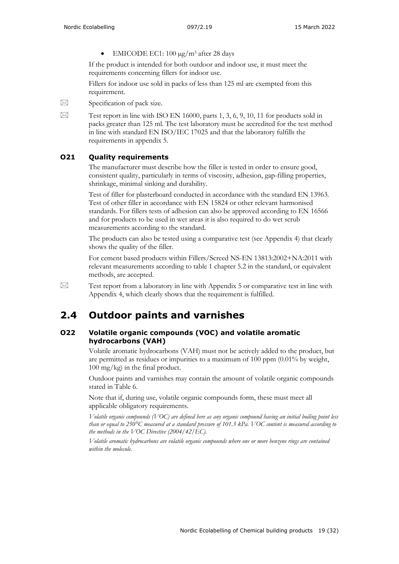• EMICODE EC1: 100 µg/m3 after 28 days

If the product is intended for both outdoor and indoor use, it must meet the requirements concerning fillers for indoor use.

Fillers for indoor use sold in packs of less than 125 ml are exempted from this requirement.

- $\boxtimes$  Specification of pack size.
- 

 $\boxtimes$  Test report in line with ISO EN 16000, parts 1, 3, 6, 9, 10, 11 for products sold in packs greater than 125 ml. The test laboratory must be accredited for the test method in line with standard EN ISO/IEC 17025 and that the laboratory fulfills the requirements in appendix 5.

### **O21 Quality requirements**

The manufacturer must describe how the filler is tested in order to ensure good, consistent quality, particularly in terms of viscosity, adhesion, gap-filling properties, shrinkage, minimal sinking and durability.

Test of filler for plasterboard conducted in accordance with the standard EN 13963. Test of other filler in accordance with EN 15824 or other relevant harmonised standards. For fillers tests of adhesion can also be approved according to EN 16566 and for products to be used in wet areas it is also required to do wet scrub measurements according to the standard.

The products can also be tested using a comparative test (see Appendix 4) that clearly shows the quality of the filler.

For cement based products within Fillers/Screed NS-EN 13813:2002+NA:2011 with relevant measurements according to table 1 chapter 5.2 in the standard, or equivalent methods, are accepted.

 $\boxtimes$  Test report from a laboratory in line with Appendix 5 or comparative test in line with Appendix 4, which clearly shows that the requirement is fulfilled.

## <span id="page-18-0"></span>**2.4 Outdoor paints and varnishes**

#### **O22 Volatile organic compounds (VOC) and volatile aromatic hydrocarbons (VAH)**

Volatile aromatic hydrocarbons (VAH) must not be actively added to the product, but are permitted as residues or impurities to a maximum of 100 ppm (0.01% by weight, 100 mg/kg) in the final product.

Outdoor paints and varnishes may contain the amount of volatile organic compounds stated in Table 6.

Note that if, during use, volatile organic compounds form, these must meet all applicable obligatory requirements.

*Volatile organic compounds (VOC) are defined here as any organic compound having an initial boiling point less than or equal to 250°C measured at a standard pressure of 101.3 kPa. VOC content is measured according to the methods in the VOC Directive (2004/42/EC).*

*Volatile aromatic hydrocarbons are volatile organic compounds where one or more benzene rings are contained within the molecule.*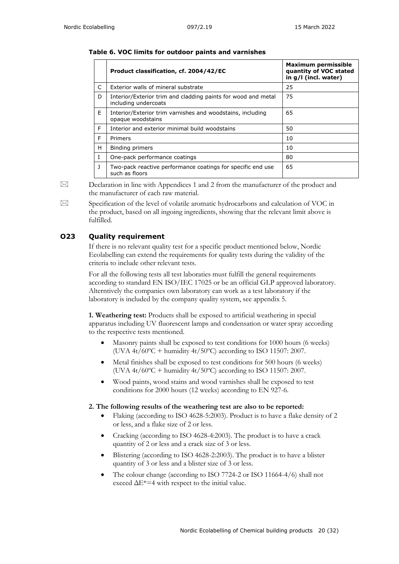| Table 6. VOC limits for outdoor paints and varnishes |  |
|------------------------------------------------------|--|
|------------------------------------------------------|--|

|              | Product classification, cf. 2004/42/EC                                                | Maximum permissible<br>quantity of VOC stated<br>in g/l (incl. water) |
|--------------|---------------------------------------------------------------------------------------|-----------------------------------------------------------------------|
| C            | Exterior walls of mineral substrate                                                   | 25                                                                    |
| D.           | Interior/Exterior trim and cladding paints for wood and metal<br>including undercoats | 75                                                                    |
| E            | Interior/Exterior trim varnishes and woodstains, including<br>opaque woodstains       | 65                                                                    |
| F            | Interior and exterior minimal build woodstains                                        | 50                                                                    |
| F            | <b>Primers</b>                                                                        | 10                                                                    |
| H            | Binding primers                                                                       | 10                                                                    |
| $\mathbf{I}$ | One-pack performance coatings                                                         | 80                                                                    |
| $\mathbf{J}$ | Two-pack reactive performance coatings for specific end use<br>such as floors         | 65                                                                    |

 $\boxtimes$  Declaration in line with Appendices 1 and 2 from the manufacturer of the product and the manufacturer of each raw material.

 $\boxtimes$  Specification of the level of volatile aromatic hydrocarbons and calculation of VOC in the product, based on all ingoing ingredients, showing that the relevant limit above is fulfilled.

#### **O23 Quality requirement**

If there is no relevant quality test for a specific product mentioned below, Nordic Ecolabelling can extend the requirements for quality tests during the validity of the criteria to include other relevant tests.

For all the following tests all test laboraties must fulfill the general requirements according to standard EN ISO/IEC 17025 or be an official GLP approved laboratory. Alterntively the companies own laboratory can work as a test laboratory if the laboratory is included by the company quality system, see appendix 5.

**1. Weathering test:** Products shall be exposed to artificial weathering in special apparatus including UV fluorescent lamps and condensation or water spray according to the respective tests mentioned.

- Masonry paints shall be exposed to test conditions for 1000 hours (6 weeks) (UVA  $4t/60^{\circ}\text{C}$  + humidity  $4t/50^{\circ}\text{C}$ ) according to ISO 11507: 2007.
- Metal finishes shall be exposed to test conditions for 500 hours (6 weeks) (UVA  $4t/60^{\circ}\text{C}$  + humidity  $4t/50^{\circ}\text{C}$ ) according to ISO 11507: 2007.
- Wood paints, wood stains and wood varnishes shall be exposed to test conditions for 2000 hours (12 weeks) according to EN 927-6.

#### **2. The following results of the weathering test are also to be reported:**

- Flaking (according to ISO 4628-5:2003). Product is to have a flake density of 2 or less, and a flake size of 2 or less.
- Cracking (according to ISO 4628-4:2003). The product is to have a crack quantity of 2 or less and a crack size of 3 or less.
- Blistering (according to ISO 4628-2:2003). The product is to have a blister quantity of 3 or less and a blister size of 3 or less.
- The colour change (according to ISO 7724-2 or ISO 11664-4/6) shall not exceed  $\Delta E^*$ =4 with respect to the initial value.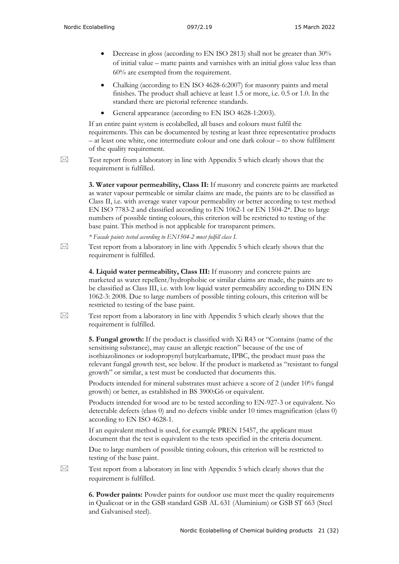- Decrease in gloss (according to EN ISO 2813) shall not be greater than 30% of initial value – matte paints and varnishes with an initial gloss value less than 60% are exempted from the requirement.
- Chalking (according to EN ISO 4628-6:2007) for masonry paints and metal finishes. The product shall achieve at least 1.5 or more, i.e. 0.5 or 1.0. In the standard there are pictorial reference standards.
- General appearance (according to EN ISO 4628-1:2003).

If an entire paint system is ecolabelled, all bases and colours must fulfil the requirements. This can be documented by testing at least three representative products – at least one white, one intermediate colour and one dark colour – to show fulfilment of the quality requirement.

 $\boxtimes$  Test report from a laboratory in line with Appendix 5 which clearly shows that the requirement is fulfilled.

> **3. Water vapour permeability, Class II:** If masonry and concrete paints are marketed as water vapour permeable or similar claims are made, the paints are to be classified as Class II, i.e. with average water vapour permeability or better according to test method EN ISO 7783-2 and classified according to EN 1062-1 or EN 1504-2\*. Due to large numbers of possible tinting colours, this criterion will be restricted to testing of the base paint. This method is not applicable for transparent primers.

*\* Facade paints tested according to EN1504-2 must fulfill class I.*

 $\boxtimes$  Test report from a laboratory in line with Appendix 5 which clearly shows that the requirement is fulfilled.

> **4. Liquid water permeability, Class III:** If masonry and concrete paints are marketed as water repellent/hydrophobic or similar claims are made, the paints are to be classified as Class III, i.e. with low liquid water permeability according to DIN EN 1062-3: 2008. Due to large numbers of possible tinting colours, this criterion will be restricted to testing of the base paint.

 $\boxtimes$  Test report from a laboratory in line with Appendix 5 which clearly shows that the requirement is fulfilled.

> **5. Fungal growth:** If the product is classified with Xi R43 or "Contains (name of the sensitising substance), may cause an allergic reaction" because of the use of isothiazolinones or iodopropynyl butylcarbamate, IPBC, the product must pass the relevant fungal growth test, see below. If the product is marketed as "resistant to fungal growth" or similar, a test must be conducted that documents this.

Products intended for mineral substrates must achieve a score of 2 (under 10% fungal growth) or better, as established in BS 3900:G6 or equivalent.

Products intended for wood are to be tested according to EN-927-3 or equivalent. No detectable defects (class 0) and no defects visible under 10 times magnification (class 0) according to EN ISO 4628-1.

If an equivalent method is used, for example PREN 15457, the applicant must document that the test is equivalent to the tests specified in the criteria document.

Due to large numbers of possible tinting colours, this criterion will be restricted to testing of the base paint.

 $\boxtimes$  Test report from a laboratory in line with Appendix 5 which clearly shows that the requirement is fulfilled.

> **6. Powder paints:** Powder paints for outdoor use must meet the quality requirements in Qualicoat or in the GSB standard GSB AL 631 (Aluminium) or GSB ST 663 (Steel and Galvanised steel).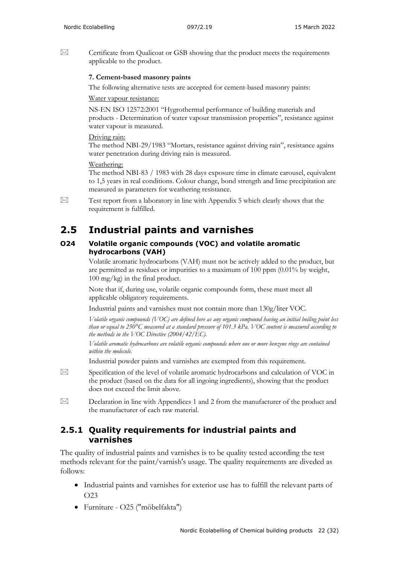$\boxtimes$  Certificate from Qualicoat or GSB showing that the product meets the requirements applicable to the product.

#### **7. Cement-based masonry paints**

The following alternative tests are accepted for cement-based masonry paints:

#### Water vapour resistance:

NS-EN ISO 12572:2001 "Hygrothermal performance of building materials and products - Determination of water vapour transmission properties", resistance against water vapour is measured.

#### Driving rain:

The method NBI-29/1983 "Mortars, resistance against driving rain", resistance agains water penetration during driving rain is measured.

#### Weathering:

The method NBI-83 / 1983 with 28 days exposure time in climate carousel, equivalent to 1,5 years in real conditions. Colour change, bond strength and lime precipitation are measured as parameters for weathering resistance.

 $\boxtimes$  Test report from a laboratory in line with Appendix 5 which clearly shows that the requirement is fulfilled.

## <span id="page-21-0"></span>**2.5 Industrial paints and varnishes**

#### **O24 Volatile organic compounds (VOC) and volatile aromatic hydrocarbons (VAH)**

Volatile aromatic hydrocarbons (VAH) must not be actively added to the product, but are permitted as residues or impurities to a maximum of 100 ppm (0.01% by weight, 100 mg/kg) in the final product.

Note that if, during use, volatile organic compounds form, these must meet all applicable obligatory requirements.

Industrial paints and varnishes must not contain more than 130g/liter VOC.

*Volatile organic compounds (VOC) are defined here as any organic compound having an initial boiling point less than or equal to 250°C measured at a standard pressure of 101.3 kPa. VOC content is measured according to the methods in the VOC Directive (2004/42/EC).*

*Volatile aromatic hydrocarbons are volatile organic compounds where one or more benzene rings are contained within the molecule.*

Industrial powder paints and varnishes are exempted from this requirement.

- $\boxtimes$  Specification of the level of volatile aromatic hydrocarbons and calculation of VOC in the product (based on the data for all ingoing ingredients), showing that the product does not exceed the limit above.
- $\boxtimes$  Declaration in line with Appendices 1 and 2 from the manufacturer of the product and the manufacturer of each raw material.

### **2.5.1 Quality requirements for industrial paints and varnishes**

The quality of industrial paints and varnishes is to be quality tested according the test methods relevant for the paint/varnish's usage. The quality requirements are diveded as follows:

- Industrial paints and varnishes for exterior use has to fulfill the relevant parts of O23
- Furniture O25 ("möbelfakta")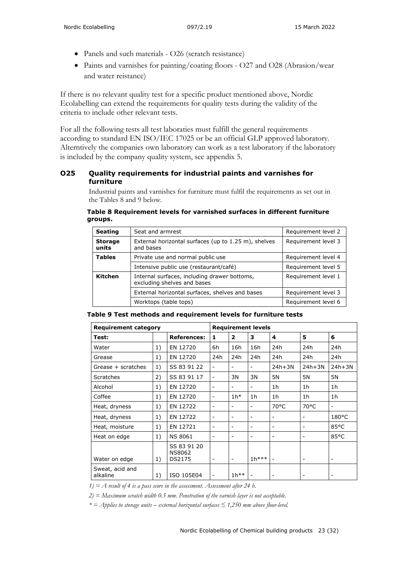- Panels and such materials O26 (scratch resistance)
- Paints and varnishes for painting/coating floors O27 and O28 (Abrasion/wear and water reistance)

If there is no relevant quality test for a specific product mentioned above, Nordic Ecolabelling can extend the requirements for quality tests during the validity of the criteria to include other relevant tests.

For all the following tests all test laboraties must fulfill the general requirements according to standard EN ISO/IEC 17025 or be an official GLP approved laboratory. Alterntively the companies own laboratory can work as a test laboratory if the laboratory is included by the company quality system, see appendix 5.

#### **O25 Quality requirements for industrial paints and varnishes for furniture**

Industrial paints and varnishes for furniture must fulfil the requirements as set out in the Tables 8 and 9 below.

 **Table 8 Requirement levels for varnished surfaces in different furniture groups.**

| <b>Seating</b>          | Seat and armrest                                                            | Requirement level 2 |
|-------------------------|-----------------------------------------------------------------------------|---------------------|
| <b>Storage</b><br>units | External horizontal surfaces (up to 1.25 m), shelves<br>and bases           | Requirement level 3 |
| <b>Tables</b>           | Private use and normal public use                                           | Requirement level 4 |
|                         | Intensive public use (restaurant/café)                                      | Requirement level 5 |
| Kitchen                 | Internal surfaces, including drawer bottoms,<br>excluding shelves and bases | Requirement level 1 |
|                         | External horizontal surfaces, shelves and bases                             | Requirement level 3 |
|                         | Worktops (table tops)                                                       | Requirement level 6 |

| Table 9 Test methods and requirement levels for furniture tests |
|-----------------------------------------------------------------|
|-----------------------------------------------------------------|

| <b>Requirement category</b> |    |                                        | <b>Requirement levels</b> |                          |         |                |                          |                          |
|-----------------------------|----|----------------------------------------|---------------------------|--------------------------|---------|----------------|--------------------------|--------------------------|
| Test:                       |    | <b>References:</b>                     | 1                         | $\overline{2}$           | 3       | 4              | 5                        | 6                        |
| Water                       | 1) | EN 12720                               | 6h                        | 16h                      | 16h     | 24h            | 24h                      | 24h                      |
| Grease                      | 1) | EN 12720                               | 24h                       | 24h                      | 24h     | 24h            | 24h                      | 24h                      |
| Grease + scratches          | 1) | SS 83 91 22                            | $\overline{\phantom{a}}$  |                          |         | $24h+3N$       | $24h+3N$                 | $24h+3N$                 |
| Scratches                   | 2) | SS 83 91 17                            | $\blacksquare$            | 3N                       | 3N      | 5N             | 5N                       | 5N                       |
| Alcohol                     | 1) | EN 12720                               | $\overline{\phantom{a}}$  | $\overline{\phantom{m}}$ |         | 1 <sub>h</sub> | 1h                       | 1 <sub>h</sub>           |
| Coffee                      | 1) | EN 12720                               | $\overline{\phantom{a}}$  | $1h*$                    | 1h      | 1 <sub>h</sub> | 1 <sub>h</sub>           | 1 <sub>h</sub>           |
| Heat, dryness               | 1) | EN 12722                               | $\overline{\phantom{a}}$  |                          |         | 70°C           | $70^{\circ}$ C           |                          |
| Heat, dryness               | 1) | EN 12722                               | $\overline{\phantom{a}}$  |                          |         |                |                          | $180^{\circ}$ C          |
| Heat, moisture              | 1) | EN 12721                               | $\blacksquare$            |                          |         |                |                          | 85°C                     |
| Heat on edge                | 1) | <b>NS 8061</b>                         | $\overline{\phantom{a}}$  | $\overline{\phantom{a}}$ |         | ۰              | $\overline{\phantom{a}}$ | 85°C                     |
| Water on edge               | 1) | SS 83 91 20<br><b>NS8062</b><br>DS2175 | $\overline{\phantom{a}}$  | $\overline{\phantom{a}}$ | $1h***$ |                | $\overline{\phantom{a}}$ | $\overline{\phantom{0}}$ |
| Sweat, acid and<br>alkaline | 1) | ISO 105E04                             | $\overline{\phantom{a}}$  | $1h^{**}$                |         |                |                          |                          |

*1) = A result of 4 is a pass score in the assessment. Assessment after 24 h.* 

*2) = Maximum scratch width 0.5 mm. Penetration of the varnish layer is not acceptable.* 

*\* = Applies to storage units – external horizontal surfaces ≤ 1,250 mm above floor-level.*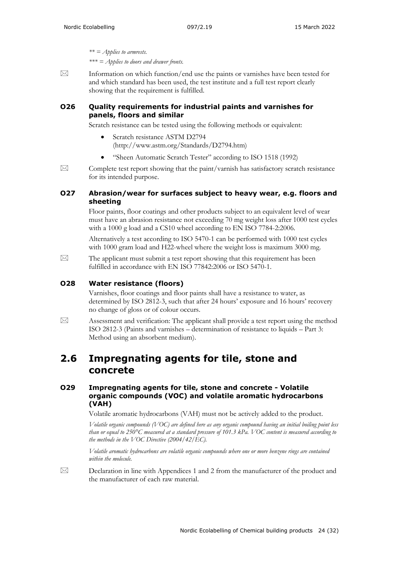*\*\* = Applies to armrests. \*\*\* = Applies to doors and drawer fronts.*

 $\boxtimes$  Information on which function/end use the paints or varnishes have been tested for and which standard has been used, the test institute and a full test report clearly showing that the requirement is fulfilled.

#### **O26 Quality requirements for industrial paints and varnishes for panels, floors and similar**

Scratch resistance can be tested using the following methods or equivalent:

- Scratch resistance ASTM D2794 [\(http://www.astm.org/Standards/D2794.htm\)](http://www.astm.org/Standards/D2794.htm)
- "Sheen Automatic Scratch Tester" according to ISO 1518 (1992)
- $\boxtimes$  Complete test report showing that the paint/varnish has satisfactory scratch resistance for its intended purpose.

#### **O27 Abrasion/wear for surfaces subject to heavy wear, e.g. floors and sheeting**

Floor paints, floor coatings and other products subject to an equivalent level of wear must have an abrasion resistance not exceeding 70 mg weight loss after 1000 test cycles with a 1000 g load and a CS10 wheel according to EN ISO 7784-2:2006.

Alternatively a test according to ISO 5470-1 can be performed with 1000 test cycles with 1000 gram load and H22-wheel where the weight loss is maximum 3000 mg.

 $\boxtimes$  The applicant must submit a test report showing that this requirement has been fulfilled in accordance with EN ISO 77842:2006 or ISO 5470-1.

#### **O28 Water resistance (floors)**

Varnishes, floor coatings and floor paints shall have a resistance to water, as determined by ISO 2812-3, such that after 24 hours' exposure and 16 hours' recovery no change of gloss or of colour occurs.

 $\boxtimes$  Assessment and verification: The applicant shall provide a test report using the method ISO 2812-3 (Paints and varnishes – determination of resistance to liquids – Part 3: Method using an absorbent medium).

### <span id="page-23-0"></span>**2.6 Impregnating agents for tile, stone and concrete**

#### **O29 Impregnating agents for tile, stone and concrete - Volatile organic compounds (VOC) and volatile aromatic hydrocarbons (VAH)**

Volatile aromatic hydrocarbons (VAH) must not be actively added to the product.

*Volatile organic compounds (VOC) are defined here as any organic compound having an initial boiling point less than or equal to 250°C measured at a standard pressure of 101.3 kPa. VOC content is measured according to the methods in the VOC Directive (2004/42/EC).*

*Volatile aromatic hydrocarbons are volatile organic compounds where one or more benzene rings are contained within the molecule.*

 $\boxtimes$  Declaration in line with Appendices 1 and 2 from the manufacturer of the product and the manufacturer of each raw material.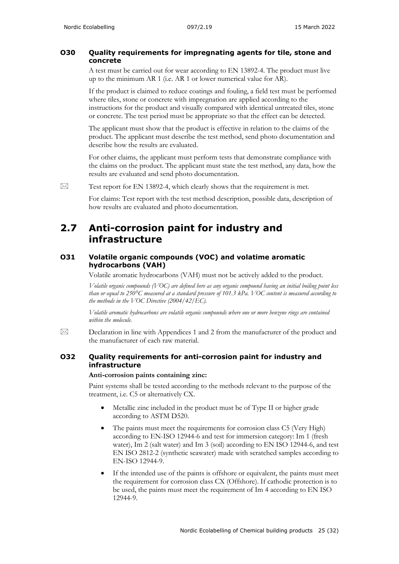#### **O30 Quality requirements for impregnating agents for tile, stone and concrete**

A test must be carried out for wear according to EN 13892-4. The product must live up to the minimum AR 1 (i.e. AR 1 or lower numerical value for AR).

If the product is claimed to reduce coatings and fouling, a field test must be performed where tiles, stone or concrete with impregnation are applied according to the instructions for the product and visually compared with identical untreated tiles, stone or concrete. The test period must be appropriate so that the effect can be detected.

The applicant must show that the product is effective in relation to the claims of the product. The applicant must describe the test method, send photo documentation and describe how the results are evaluated.

For other claims, the applicant must perform tests that demonstrate compliance with the claims on the product. The applicant must state the test method, any data, how the results are evaluated and send photo documentation.

 $\boxtimes$  Test report for EN 13892-4, which clearly shows that the requirement is met.

For claims: Test report with the test method description, possible data, description of how results are evaluated and photo documentation.

### <span id="page-24-0"></span>**2.7 Anti-corrosion paint for industry and infrastructure**

#### **O31 Volatile organic compounds (VOC) and volatime aromatic hydrocarbons (VAH)**

Volatile aromatic hydrocarbons (VAH) must not be actively added to the product.

*Volatile organic compounds (VOC) are defined here as any organic compound having an initial boiling point less than or equal to 250°C measured at a standard pressure of 101.3 kPa. VOC content is measured according to the methods in the VOC Directive (2004/42/EC).*

*Volatile aromatic hydrocarbons are volatile organic compounds where one or more benzene rings are contained within the molecule.*

 $\boxtimes$  Declaration in line with Appendices 1 and 2 from the manufacturer of the product and the manufacturer of each raw material.

#### **O32 Quality requirements for anti-corrosion paint for industry and infrastructure**

#### **Anti-corrosion paints containing zinc:**

Paint systems shall be tested according to the methods relevant to the purpose of the treatment, i.e. C5 or alternatively CX.

- Metallic zinc included in the product must be of Type II or higher grade according to ASTM D520.
- The paints must meet the requirements for corrosion class C5 (Very High) according to EN-ISO 12944-6 and test for immersion category: Im 1 (fresh water), Im 2 (salt water) and Im 3 (soil) according to EN ISO 12944-6, and test EN ISO 2812-2 (synthetic seawater) made with scratched samples according to EN-ISO 12944-9.
- If the intended use of the paints is offshore or equivalent, the paints must meet the requirement for corrosion class CX (Offshore). If cathodic protection is to be used, the paints must meet the requirement of Im 4 according to EN ISO 12944-9.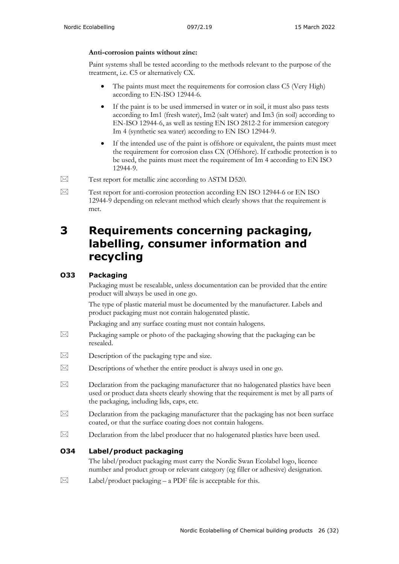#### **Anti-corrosion paints without zinc:**

Paint systems shall be tested according to the methods relevant to the purpose of the treatment, i.e. C5 or alternatively CX.

- The paints must meet the requirements for corrosion class C5 (Very High) according to EN-ISO 12944-6.
- If the paint is to be used immersed in water or in soil, it must also pass tests according to Im1 (fresh water), Im2 (salt water) and Im3 (in soil) according to EN-ISO 12944-6, as well as testing EN ISO 2812-2 for immersion category Im 4 (synthetic sea water) according to EN ISO 12944-9.
- If the intended use of the paint is offshore or equivalent, the paints must meet the requirement for corrosion class CX (Offshore). If cathodic protection is to be used, the paints must meet the requirement of Im 4 according to EN ISO 12944-9.
- $\boxtimes$  Test report for metallic zinc according to ASTM D520.
- Test report for anti-corrosion protection according EN ISO 12944-6 or EN ISO 12944-9 depending on relevant method which clearly shows that the requirement is met.

## <span id="page-25-0"></span>**3 Requirements concerning packaging, labelling, consumer information and recycling**

### **O33 Packaging**

Packaging must be resealable, unless documentation can be provided that the entire product will always be used in one go.

The type of plastic material must be documented by the manufacturer. Labels and product packaging must not contain halogenated plastic.

Packaging and any surface coating must not contain halogens.

- $\boxtimes$  Packaging sample or photo of the packaging showing that the packaging can be resealed.
- $\boxtimes$  Description of the packaging type and size.
- $\boxtimes$  Descriptions of whether the entire product is always used in one go.
- $\boxtimes$  Declaration from the packaging manufacturer that no halogenated plastics have been used or product data sheets clearly showing that the requirement is met by all parts of the packaging, including lids, caps, etc.
- $\boxtimes$  Declaration from the packaging manufacturer that the packaging has not been surface coated, or that the surface coating does not contain halogens.
- $\boxtimes$  Declaration from the label producer that no halogenated plastics have been used.

#### **O34 Label/product packaging**

The label/product packaging must carry the Nordic Swan Ecolabel logo, licence number and product group or relevant category (eg filler or adhesive) designation.

 $\boxtimes$  Label/product packaging – a PDF file is acceptable for this.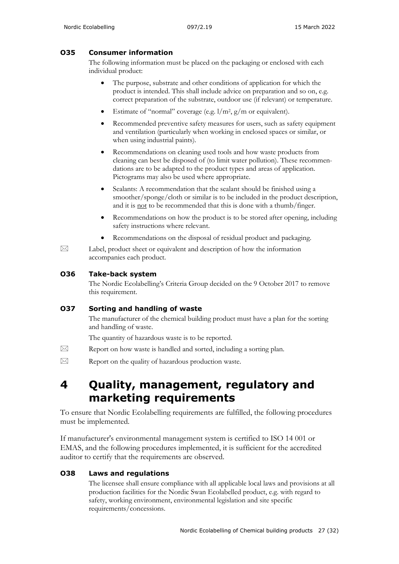### **O35 Consumer information**

The following information must be placed on the packaging or enclosed with each individual product:

- The purpose, substrate and other conditions of application for which the product is intended. This shall include advice on preparation and so on, e.g. correct preparation of the substrate, outdoor use (if relevant) or temperature.
- Estimate of "normal" coverage (e.g.  $1/m^2$ ,  $g/m$  or equivalent).
- Recommended preventive safety measures for users, such as safety equipment and ventilation (particularly when working in enclosed spaces or similar, or when using industrial paints).
- Recommendations on cleaning used tools and how waste products from cleaning can best be disposed of (to limit water pollution). These recommendations are to be adapted to the product types and areas of application. Pictograms may also be used where appropriate.
- Sealants: A recommendation that the sealant should be finished using a smoother/sponge/cloth or similar is to be included in the product description, and it is not to be recommended that this is done with a thumb/finger.
- Recommendations on how the product is to be stored after opening, including safety instructions where relevant.
- Recommendations on the disposal of residual product and packaging.
- $\boxtimes$  Label, product sheet or equivalent and description of how the information accompanies each product.

#### **O36 Take-back system**

The Nordic Ecolabelling's Criteria Group decided on the 9 October 2017 to remove this requirement.

#### **O37 Sorting and handling of waste**

The manufacturer of the chemical building product must have a plan for the sorting and handling of waste.

The quantity of hazardous waste is to be reported.

- $\boxtimes$  Report on how waste is handled and sorted, including a sorting plan.
- $\boxtimes$  Report on the quality of hazardous production waste.

## <span id="page-26-0"></span>**4 Quality, management, regulatory and marketing requirements**

To ensure that Nordic Ecolabelling requirements are fulfilled, the following procedures must be implemented.

If manufacturer's environmental management system is certified to ISO 14 001 or EMAS, and the following procedures implemented, it is sufficient for the accredited auditor to certify that the requirements are observed.

### **O38 Laws and regulations**

The licensee shall ensure compliance with all applicable local laws and provisions at all production facilities for the Nordic Swan Ecolabelled product, e.g. with regard to safety, working environment, environmental legislation and site specific requirements/concessions.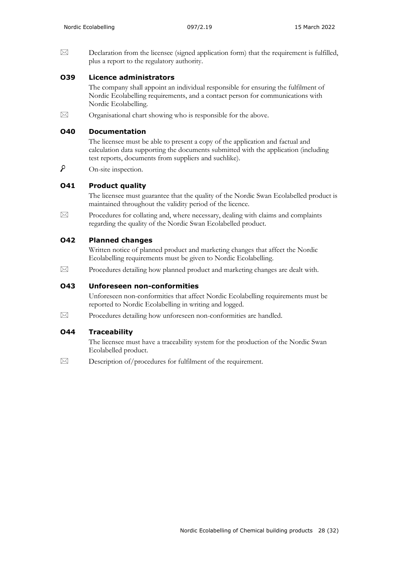$\boxtimes$  Declaration from the licensee (signed application form) that the requirement is fulfilled, plus a report to the regulatory authority.

#### **O39 Licence administrators**

The company shall appoint an individual responsible for ensuring the fulfilment of Nordic Ecolabelling requirements, and a contact person for communications with Nordic Ecolabelling.

 $\boxtimes$  Organisational chart showing who is responsible for the above.

#### **O40 Documentation**

The licensee must be able to present a copy of the application and factual and calculation data supporting the documents submitted with the application (including test reports, documents from suppliers and suchlike).

۹ On-site inspection.

#### **O41 Product quality**

The licensee must guarantee that the quality of the Nordic Swan Ecolabelled product is maintained throughout the validity period of the licence.

 $\boxtimes$  Procedures for collating and, where necessary, dealing with claims and complaints regarding the quality of the Nordic Swan Ecolabelled product.

#### **O42 Planned changes**

Written notice of planned product and marketing changes that affect the Nordic Ecolabelling requirements must be given to Nordic Ecolabelling.

 $\boxtimes$  Procedures detailing how planned product and marketing changes are dealt with.

#### **O43 Unforeseen non-conformities**

Unforeseen non-conformities that affect Nordic Ecolabelling requirements must be reported to Nordic Ecolabelling in writing and logged.

 $\boxtimes$  Procedures detailing how unforeseen non-conformities are handled.

#### **O44 Traceability**

The licensee must have a traceability system for the production of the Nordic Swan Ecolabelled product.

 $\boxtimes$  Description of/procedures for fulfilment of the requirement.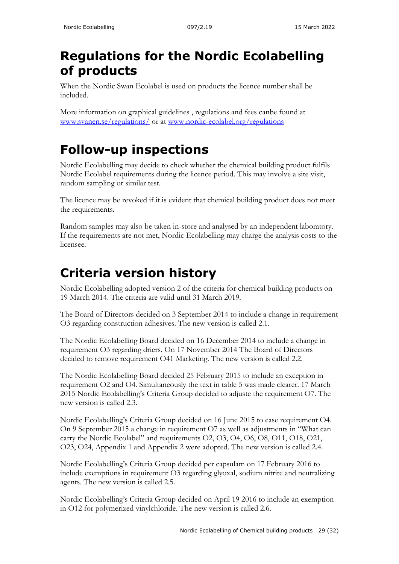# <span id="page-28-0"></span>**Regulations for the Nordic Ecolabelling of products**

When the Nordic Swan Ecolabel is used on products the licence number shall be included.

More information on graphical guidelines , regulations and fees canbe found at [www.svanen.se/regulations/](http://www.svanen.se/regulations/) or at [www.nordic-ecolabel.org/regulations](http://www.nordic-ecolabel.org/regulations)

# <span id="page-28-1"></span>**Follow-up inspections**

Nordic Ecolabelling may decide to check whether the chemical building product fulfils Nordic Ecolabel requirements during the licence period. This may involve a site visit, random sampling or similar test.

The licence may be revoked if it is evident that chemical building product does not meet the requirements.

Random samples may also be taken in-store and analysed by an independent laboratory. If the requirements are not met, Nordic Ecolabelling may charge the analysis costs to the licensee.

# <span id="page-28-2"></span>**Criteria version history**

Nordic Ecolabelling adopted version 2 of the criteria for chemical building products on 19 March 2014. The criteria are valid until 31 March 2019.

The Board of Directors decided on 3 September 2014 to include a change in requirement O3 regarding construction adhesives. The new version is called 2.1.

The Nordic Ecolabelling Board decided on 16 December 2014 to include a change in requirement O3 regarding driers. On 17 November 2014 The Board of Directors decided to remove requirement O41 Marketing. The new version is called 2.2.

The Nordic Ecolabelling Board decided 25 February 2015 to include an exception in requirement O2 and O4. Simultaneously the text in table 5 was made clearer. 17 March 2015 Nordic Ecolabelling's Criteria Group decided to adjuste the requirement O7. The new version is called 2.3.

Nordic Ecolabelling's Criteria Group decided on 16 June 2015 to ease requirement O4. On 9 September 2015 a change in requirement O7 as well as adjustments in "What can carry the Nordic Ecolabel" and requirements O2, O3, O4, O6, O8, O11, O18, O21, O23, O24, Appendix 1 and Appendix 2 were adopted. The new version is called 2.4.

Nordic Ecolabelling's Criteria Group decided per capsulam on 17 February 2016 to include exemptions in requirement O3 regarding glyoxal, sodium nitrite and neutralizing agents. The new version is called 2.5.

Nordic Ecolabelling's Criteria Group decided on April 19 2016 to include an exemption in O12 for polymerized vinylchloride. The new version is called 2.6.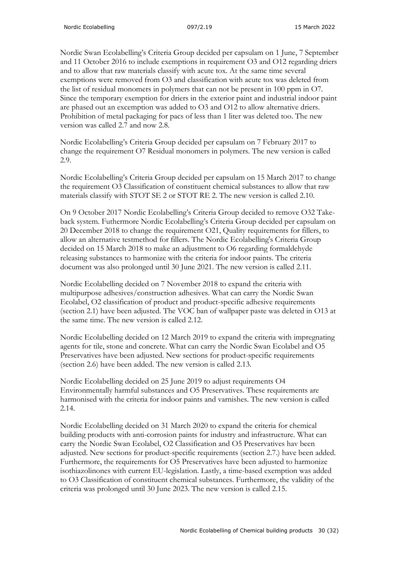Nordic Swan Ecolabelling's Criteria Group decided per capsulam on 1 June, 7 September and 11 October 2016 to include exemptions in requirement O3 and O12 regarding driers and to allow that raw materials classify with acute tox. At the same time several exemptions were removed from O3 and classification with acute tox was deleted from the list of residual monomers in polymers that can not be present in 100 ppm in O7. Since the temporary exemption for driers in the exterior paint and industrial indoor paint are phased out an excemption was added to O3 and O12 to allow alternative driers. Prohibition of metal packaging for pacs of less than 1 liter was deleted too. The new version was called 2.7 and now 2.8.

Nordic Ecolabelling's Criteria Group decided per capsulam on 7 February 2017 to change the requirement O7 Residual monomers in polymers. The new version is called 2.9.

Nordic Ecolabelling's Criteria Group decided per capsulam on 15 March 2017 to change the requirement O3 Classification of constituent chemical substances to allow that raw materials classify with STOT SE 2 or STOT RE 2. The new version is called 2.10.

On 9 October 2017 Nordic Ecolabelling's Criteria Group decided to remove O32 Takeback system. Futhermore Nordic Ecolabelling's Criteria Group decided per capsulam on 20 December 2018 to change the requirement O21, Quality requirements for fillers, to allow an alternative testmethod for fillers. The Nordic Ecolabelling's Criteria Group decided on 15 March 2018 to make an adjustment to O6 regarding formaldehyde releasing substances to harmonize with the criteria for indoor paints. The criteria document was also prolonged until 30 June 2021. The new version is called 2.11.

Nordic Ecolabelling decided on 7 November 2018 to expand the criteria with multipurpose adhesives/construction adhesives. What can carry the Nordic Swan Ecolabel, O2 classification of product and product-specific adhesive requirements (section 2.1) have been adjusted. The VOC ban of wallpaper paste was deleted in O13 at the same time. The new version is called 2.12.

Nordic Ecolabelling decided on 12 March 2019 to expand the criteria with impregnating agents for tile, stone and concrete. What can carry the Nordic Swan Ecolabel and O5 Preservatives have been adjusted. New sections for product-specific requirements (section 2.6) have been added. The new version is called 2.13.

Nordic Ecolabelling decided on 25 June 2019 to adjust requirements O4 Environmentally harmful substances and O5 Preservatives. These requirements are harmonised with the criteria for indoor paints and varnishes. The new version is called 2.14.

Nordic Ecolabelling decided on 31 March 2020 to expand the criteria for chemical building products with anti-corrosion paints for industry and infrastructure. What can carry the Nordic Swan Ecolabel, O2 Classification and O5 Preservatives hav been adjusted. New sections for product-specific requirements (section 2.7.) have been added. Furthermore, the requirements for O5 Preservatives have been adjusted to harmonize isothiazolinones with current EU-legislation. Lastly, a time-based exemption was added to O3 Classification of constituent chemical substances. Furthermore, the validity of the criteria was prolonged until 30 June 2023. The new version is called 2.15.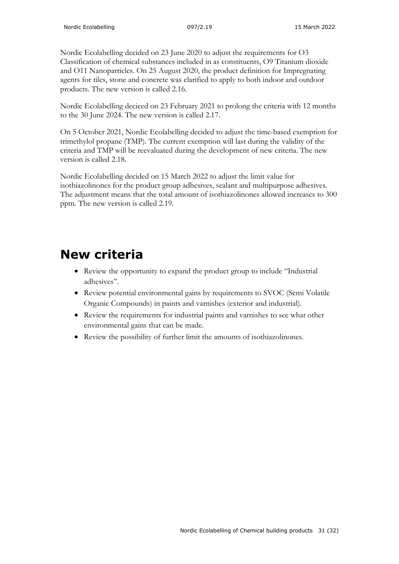Nordic Ecolabelling decided on 23 June 2020 to adjust the requirements for O3 Classification of chemical substances included in as constituents, O9 Titanium dioxide and O11 Nanoparticles. On 25 August 2020, the product definition for Impregnating agents for tiles, stone and concrete was clarified to apply to both indoor and outdoor products. The new version is called 2.16.

Nordic Ecolabelling deciced on 23 February 2021 to prolong the criteria with 12 months to the 30 June 2024. The new version is called 2.17.

On 5 October 2021, Nordic Ecolabelling decided to adjust the time-based exemption for trimethylol propane (TMP). The current exemption will last during the validity of the criteria and TMP will be reevaluated during the development of new criteria. The new version is called 2.18.

Nordic Ecolabelling decided on 15 March 2022 to adjust the limit value for isothiazolinones for the product group adhesives, sealant and multipurpose adhesives. The adjustment means that the total amount of isothiazolinones allowed increases to 300 ppm. The new version is called 2.19.

# <span id="page-30-0"></span>**New criteria**

- Review the opportunity to expand the product group to include "Industrial adhesives".
- Review potential environmental gains by requirements to SVOC (Semi Volatile Organic Compounds) in paints and varnishes (exterior and industrial).
- Review the requirements for industrial paints and varnishes to see what other environmental gains that can be made.
- Review the possibility of further limit the amounts of isothiazolinones.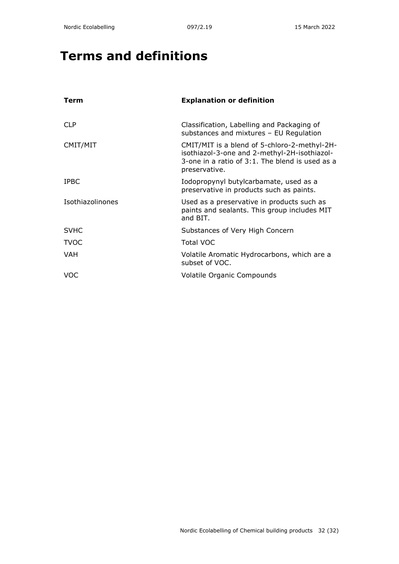# <span id="page-31-0"></span>**Terms and definitions**

| Term             | <b>Explanation or definition</b>                                                                                                                                 |
|------------------|------------------------------------------------------------------------------------------------------------------------------------------------------------------|
| <b>CLP</b>       | Classification, Labelling and Packaging of<br>substances and mixtures - EU Regulation                                                                            |
| CMIT/MIT         | CMIT/MIT is a blend of 5-chloro-2-methyl-2H-<br>isothiazol-3-one and 2-methyl-2H-isothiazol-<br>3-one in a ratio of 3:1. The blend is used as a<br>preservative. |
| <b>IPBC</b>      | Iodopropynyl butylcarbamate, used as a<br>preservative in products such as paints.                                                                               |
| Isothiazolinones | Used as a preservative in products such as<br>paints and sealants. This group includes MIT<br>and BIT.                                                           |
| <b>SVHC</b>      | Substances of Very High Concern                                                                                                                                  |
| <b>TVOC</b>      | <b>Total VOC</b>                                                                                                                                                 |
| VAH              | Volatile Aromatic Hydrocarbons, which are a<br>subset of VOC.                                                                                                    |
| VOC              | <b>Volatile Organic Compounds</b>                                                                                                                                |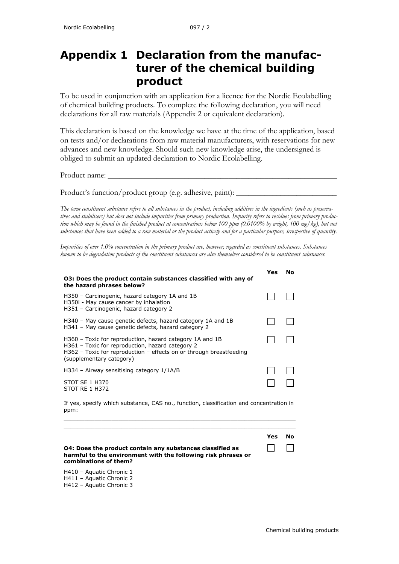## <span id="page-32-0"></span>**Appendix 1 Declaration from the manufacturer of the chemical building product**

To be used in conjunction with an application for a licence for the Nordic Ecolabelling of chemical building products. To complete the following declaration, you will need declarations for all raw materials (Appendix 2 or equivalent declaration).

This declaration is based on the knowledge we have at the time of the application, based on tests and/or declarations from raw material manufacturers, with reservations for new advances and new knowledge. Should such new knowledge arise, the undersigned is obliged to submit an updated declaration to Nordic Ecolabelling.

Product name:

Product's function/product group (e.g. adhesive, paint):

*The term constituent substance refers to all substances in the product, including additives in the ingredients (such as preservatives and stabilisers) but does not include impurities from primary production. Impurity refers to residues from primary production which may be found in the finished product at concentrations below 100 ppm (0.0100% by weight, 100 mg/kg), but not substances that have been added to a raw material or the product actively and for a particular purpose, irrespective of quantity.*

*Impurities of over 1.0% concentration in the primary product are, however, regarded as constituent substances. Substances known to be degradation products of the constituent substances are also themselves considered to be constituent substances.* 

| 03: Does the product contain substances classified with any of<br>the hazard phrases below?                                                                                                                       | Yes | Nο |
|-------------------------------------------------------------------------------------------------------------------------------------------------------------------------------------------------------------------|-----|----|
| H350 - Carcinogenic, hazard category 1A and 1B<br>H350i - May cause cancer by inhalation<br>H351 - Carcinogenic, hazard category 2                                                                                |     |    |
| H340 – May cause genetic defects, hazard category 1A and 1B<br>H341 - May cause genetic defects, hazard category 2                                                                                                |     |    |
| H360 – Toxic for reproduction, hazard category 1A and 1B<br>H361 - Toxic for reproduction, hazard category 2<br>$H362$ – Toxic for reproduction – effects on or through breastfeeding<br>(supplementary category) |     |    |
| $H334$ – Airway sensitising category $1/1A/B$                                                                                                                                                                     |     |    |
| STOT SE 1 H370<br><b>STOT RE 1 H372</b>                                                                                                                                                                           |     |    |

If yes, specify which substance, CAS no., function, classification and concentration in ppm:  $\_$  ,  $\_$  ,  $\_$  ,  $\_$  ,  $\_$  ,  $\_$  ,  $\_$  ,  $\_$  ,  $\_$  ,  $\_$  ,  $\_$  ,  $\_$  ,  $\_$  ,  $\_$  ,  $\_$  ,  $\_$  ,  $\_$  ,  $\_$  ,  $\_$  ,  $\_$  ,  $\_$  ,  $\_$  ,  $\_$  ,  $\_$  ,  $\_$  ,  $\_$  ,  $\_$  ,  $\_$  ,  $\_$  ,  $\_$  ,  $\_$  ,  $\_$  ,  $\_$  ,  $\_$  ,  $\_$  ,  $\_$  ,  $\_$  ,

|                                                                                                                                                            | Yes | No. |
|------------------------------------------------------------------------------------------------------------------------------------------------------------|-----|-----|
| <b>O4: Does the product contain any substances classified as</b><br>harmful to the environment with the following risk phrases or<br>combinations of them? |     |     |

H410 – Aquatic Chronic 1 H411 – Aquatic Chronic 2 H412 – Aquatic Chronic 3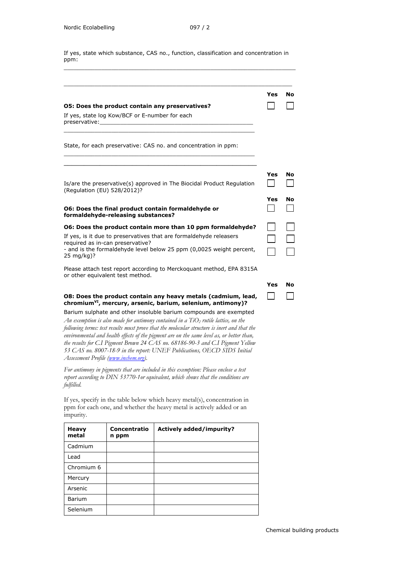If yes, state which substance, CAS no., function, classification and concentration in ppm:  $\_$  ,  $\_$  ,  $\_$  ,  $\_$  ,  $\_$  ,  $\_$  ,  $\_$  ,  $\_$  ,  $\_$  ,  $\_$  ,  $\_$  ,  $\_$  ,  $\_$  ,  $\_$  ,  $\_$  ,  $\_$  ,  $\_$  ,  $\_$  ,  $\_$  ,  $\_$ 

|                                                                                                                                                                                                                                                                                  | Yes | No |
|----------------------------------------------------------------------------------------------------------------------------------------------------------------------------------------------------------------------------------------------------------------------------------|-----|----|
| 05: Does the product contain any preservatives?                                                                                                                                                                                                                                  |     |    |
| If yes, state log Kow/BCF or E-number for each<br>preservative: when the contract of the contract of the contract of the contract of the contract of the contract of the contract of the contract of the contract of the contract of the contract of the contract of the contrac |     |    |
| State, for each preservative: CAS no. and concentration in ppm:                                                                                                                                                                                                                  |     |    |
|                                                                                                                                                                                                                                                                                  |     |    |
| Is/are the preservative(s) approved in The Biocidal Product Regulation<br>(Regulation (EU) 528/2012)?                                                                                                                                                                            | Yes | No |
|                                                                                                                                                                                                                                                                                  | Yes | No |
| 06: Does the final product contain formaldehyde or<br>formaldehyde-releasing substances?                                                                                                                                                                                         |     |    |
| O6: Does the product contain more than 10 ppm formaldehyde?                                                                                                                                                                                                                      |     |    |
| If yes, is it due to preservatives that are formaldehyde releasers                                                                                                                                                                                                               |     |    |
| required as in-can preservative?<br>- and is the formaldehyde level below 25 ppm (0,0025 weight percent,<br>25 mg/kg)?                                                                                                                                                           |     |    |
| Please attach test report according to Merckoguant method, EPA 8315A<br>or other equivalent test method.                                                                                                                                                                         |     |    |
|                                                                                                                                                                                                                                                                                  | Yes | No |
| O8: Does the product contain any heavy metals (cadmium, lead,<br>chromium <sup>vI</sup> , mercury, arsenic, barium, selenium, antimony)?                                                                                                                                         |     |    |
| Barium sulphate and other insoluble barium compounds are exempted<br>An exemption is also made for antimony contained in a $TiO2$ rutile lattice, on the<br>following terms: test results must prove that the molecular structure is inert and that the                          |     |    |

*environmental and health effects of the pigment are on the same level as, or better than, the results for C.I Pigment Brown 24 CAS no. 68186-90-3 and C.I Pigment Yellow 53 CAS no. 8007-18-9 in the report: UNEF Publications, OECD SIDS Initial Assessment Profile [\(www.inchem.org\)](http://www.inchem.org/).*

*For antimony in pigments that are included in this exemption: Please enclose a test report according to DIN 53770-1or equivalent, which shows that the conditions are fulfilled.* 

If yes, specify in the table below which heavy metal(s), concentration in ppm for each one, and whether the heavy metal is actively added or an impurity.

| <b>Heavy</b><br>metal | Concentratio<br>n ppm | <b>Actively added/impurity?</b> |
|-----------------------|-----------------------|---------------------------------|
| Cadmium               |                       |                                 |
| Lead                  |                       |                                 |
| Chromium 6            |                       |                                 |
| Mercury               |                       |                                 |
| Arsenic               |                       |                                 |
| <b>Barium</b>         |                       |                                 |
| Selenium              |                       |                                 |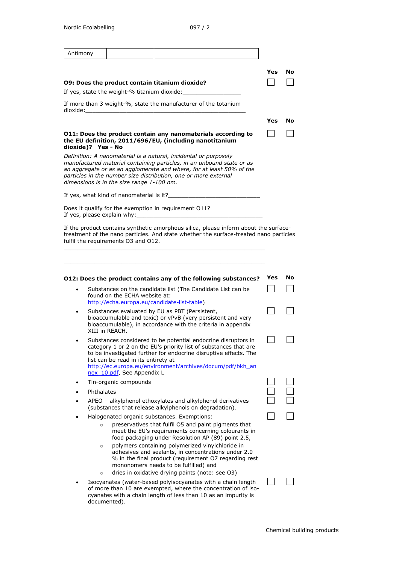| Antimony |                    |                                              |                                                                                                                                                                                                                                                                                      |     |    |
|----------|--------------------|----------------------------------------------|--------------------------------------------------------------------------------------------------------------------------------------------------------------------------------------------------------------------------------------------------------------------------------------|-----|----|
|          |                    |                                              |                                                                                                                                                                                                                                                                                      |     |    |
|          |                    |                                              |                                                                                                                                                                                                                                                                                      | Yes | No |
|          |                    |                                              | O9: Does the product contain titanium dioxide?                                                                                                                                                                                                                                       |     |    |
|          |                    | If yes, state the weight-% titanium dioxide: |                                                                                                                                                                                                                                                                                      |     |    |
| dioxide: |                    |                                              | If more than 3 weight-%, state the manufacturer of the totanium                                                                                                                                                                                                                      |     |    |
|          |                    |                                              |                                                                                                                                                                                                                                                                                      | Yes | No |
|          | dioxide)? Yes - No |                                              | 011: Does the product contain any nanomaterials according to<br>the EU definition, 2011/696/EU, (including nanotitanium                                                                                                                                                              |     |    |
|          |                    | dimensions is in the size range 1-100 nm.    | Definition: A nanomaterial is a natural, incidental or purposely<br>manufactured material containing particles, in an unbound state or as<br>an aggregate or as an agglomerate and where, for at least 50% of the<br>particles in the number size distribution, one or more external |     |    |
|          |                    | If yes, what kind of nanomaterial is it?     |                                                                                                                                                                                                                                                                                      |     |    |
|          |                    | If yes, please explain why:                  | Does it qualify for the exemption in requirement O11?                                                                                                                                                                                                                                |     |    |
|          |                    | fulfil the requirements O3 and O12.          | If the product contains synthetic amorphous silica, please inform about the surface-<br>treatment of the nano particles. And state whether the surface-treated nano particles                                                                                                        |     |    |
|          |                    |                                              |                                                                                                                                                                                                                                                                                      |     |    |
|          |                    |                                              |                                                                                                                                                                                                                                                                                      |     |    |
|          |                    |                                              | 012: Does the product contains any of the following substances?                                                                                                                                                                                                                      | Yes | No |
|          |                    |                                              | Substances on the candidate list (The Candidate List can be                                                                                                                                                                                                                          |     |    |
|          |                    | found on the ECHA website at:                | http://echa.europa.eu/candidate-list-table)                                                                                                                                                                                                                                          |     |    |
| ٠        |                    |                                              | Substances evaluated by EU as PBT (Persistent,                                                                                                                                                                                                                                       |     |    |
|          |                    | XIII in REACH.                               | bioaccumulable and toxic) or vPvB (very persistent and very<br>bioaccumulable), in accordance with the criteria in appendix                                                                                                                                                          |     |    |
|          |                    | list can be read in its entirety at          | Substances considered to be potential endocrine disruptors in<br>category 1 or 2 on the EU's priority list of substances that are<br>to be investigated further for endocrine disruptive effects. The<br>http://ec.europa.eu/environment/archives/docum/pdf/bkh_an                   |     |    |
|          |                    | nex 10.pdf, See Appendix L                   |                                                                                                                                                                                                                                                                                      |     |    |
|          |                    | Tin-organic compounds                        |                                                                                                                                                                                                                                                                                      |     |    |
|          | Phthalates         |                                              |                                                                                                                                                                                                                                                                                      |     |    |
|          |                    |                                              | APEO - alkylphenol ethoxylates and alkylphenol derivatives<br>(substances that release alkylphenols on degradation).                                                                                                                                                                 |     |    |
|          | $\circ$            |                                              | Halogenated organic substances. Exemptions:<br>preservatives that fulfil O5 and paint pigments that<br>meet the EU's requirements concerning colourants in                                                                                                                           |     |    |
|          | $\circ$            |                                              | food packaging under Resolution AP (89) point 2.5,<br>polymers containing polymerized vinylchloride in<br>adhesives and sealants, in concentrations under 2.0<br>% in the final product (requirement O7 regarding rest<br>mononomers needs to be fulfilled) and                      |     |    |
|          | $\circ$            |                                              | dries in oxidative drying paints (note: see O3)                                                                                                                                                                                                                                      |     |    |
|          |                    | documented).                                 | Isocyanates (water-based polyisocyanates with a chain length<br>of more than 10 are exempted, where the concentration of iso-<br>cyanates with a chain length of less than 10 as an impurity is                                                                                      |     |    |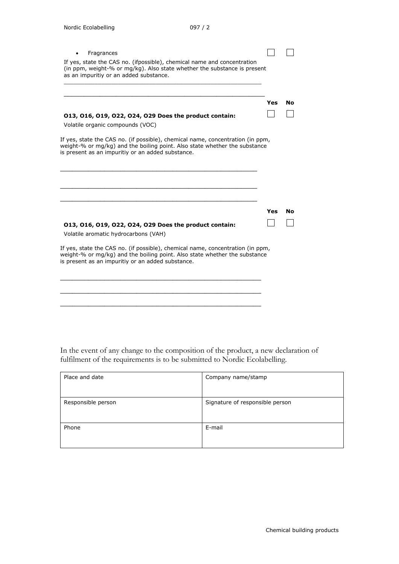| Fragrances                                                                                                                                                                                                        |     |    |
|-------------------------------------------------------------------------------------------------------------------------------------------------------------------------------------------------------------------|-----|----|
| If yes, state the CAS no. (ifpossible), chemical name and concentration<br>(in ppm, weight-% or mg/kg). Also state whether the substance is present<br>as an impuritiy or an added substance.                     |     |    |
|                                                                                                                                                                                                                   | Yes | Nο |
| 013, 016, 019, 022, 024, 029 Does the product contain:<br>Volatile organic compounds (VOC)                                                                                                                        |     |    |
| If yes, state the CAS no. (if possible), chemical name, concentration (in ppm,<br>weight-% or mg/kg) and the boiling point. Also state whether the substance<br>is present as an impuritiy or an added substance. |     |    |
|                                                                                                                                                                                                                   | Yes | No |
| 013, 016, 019, 022, 024, 029 Does the product contain:                                                                                                                                                            |     |    |
| Volatile aromatic hydrocarbons (VAH)                                                                                                                                                                              |     |    |
| If yes, state the CAS no. (if possible), chemical name, concentration (in ppm,<br>weight-% or mg/kg) and the boiling point. Also state whether the substance<br>is present as an impuritiy or an added substance. |     |    |
|                                                                                                                                                                                                                   |     |    |
|                                                                                                                                                                                                                   |     |    |

In the event of any change to the composition of the product, a new declaration of fulfilment of the requirements is to be submitted to Nordic Ecolabelling.

| Place and date     | Company name/stamp              |
|--------------------|---------------------------------|
| Responsible person | Signature of responsible person |
| Phone              | E-mail                          |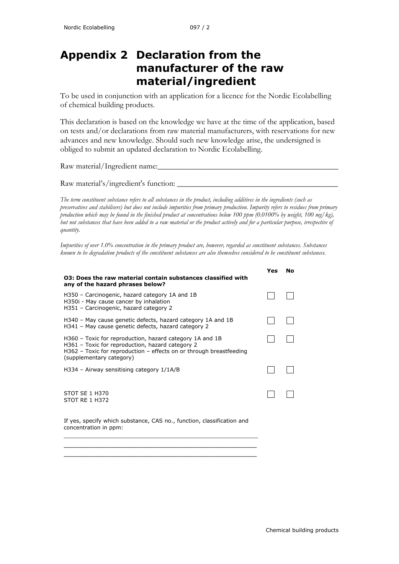## <span id="page-36-0"></span>**Appendix 2 Declaration from the manufacturer of the raw material/ingredient**

To be used in conjunction with an application for a licence for the Nordic Ecolabelling of chemical building products.

This declaration is based on the knowledge we have at the time of the application, based on tests and/or declarations from raw material manufacturers, with reservations for new advances and new knowledge. Should such new knowledge arise, the undersigned is obliged to submit an updated declaration to Nordic Ecolabelling.

Raw material/Ingredient name:

Raw material's/ingredient's function:

*The term constituent substance refers to all substances in the product, including additives in the ingredients (such as preservatives and stabilisers) but does not include impurities from primary production. Impurity refers to residues from primary production which may be found in the finished product at concentrations below 100 ppm (0.0100% by weight, 100 mg/kg), but not substances that have been added to a raw material or the product actively and for a particular purpose, irrespective of quantity.*

*Impurities of over 1.0% concentration in the primary product are, however, regarded as constituent substances. Substances known to be degradation products of the constituent substances are also themselves considered to be constituent substances.* 

| 03: Does the raw material contain substances classified with<br>any of the hazard phrases below?                                                                                                                  |  |
|-------------------------------------------------------------------------------------------------------------------------------------------------------------------------------------------------------------------|--|
| H350 - Carcinogenic, hazard category 1A and 1B<br>H350i - May cause cancer by inhalation<br>H351 - Carcinogenic, hazard category 2                                                                                |  |
| H340 – May cause genetic defects, hazard category 1A and 1B<br>H341 - May cause genetic defects, hazard category 2                                                                                                |  |
| H360 – Toxic for reproduction, hazard category 1A and 1B<br>H361 - Toxic for reproduction, hazard category 2<br>$H362$ – Toxic for reproduction – effects on or through breastfeeding<br>(supplementary category) |  |
| $H334$ – Airway sensitising category $1/1A/B$                                                                                                                                                                     |  |
| STOT SE 1 H370<br><b>STOT RE 1 H372</b>                                                                                                                                                                           |  |

If yes, specify which substance, CAS no., function, classification and concentration in ppm:

\_\_\_\_\_\_\_\_\_\_\_\_\_\_\_\_\_\_\_\_\_\_\_\_\_\_\_\_\_\_\_\_\_\_\_\_\_\_\_\_\_\_\_\_\_\_\_\_\_\_\_\_\_\_\_\_\_ **\_\_\_\_\_\_\_\_\_\_\_\_\_\_\_\_\_\_\_\_\_\_\_\_\_\_\_\_\_\_\_\_\_\_\_\_\_\_\_\_\_\_\_\_\_\_\_\_ \_\_\_\_\_\_\_\_\_\_\_\_\_\_\_\_\_\_\_\_\_\_\_\_\_\_\_\_\_\_\_\_\_\_\_\_\_\_\_\_\_\_\_\_\_\_\_\_**

**Yes No**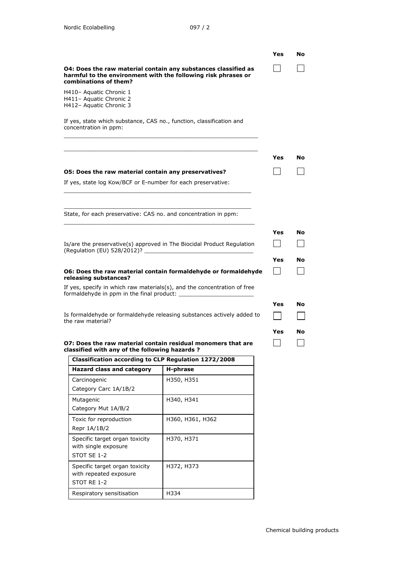with repeated exposure

Respiratory sensitisation | H334

STOT RE 1-2

|                                                                                                       |                                                                                                                                 | Yes | No |
|-------------------------------------------------------------------------------------------------------|---------------------------------------------------------------------------------------------------------------------------------|-----|----|
| combinations of them?                                                                                 | 04: Does the raw material contain any substances classified as<br>harmful to the environment with the following risk phrases or |     |    |
| H410- Aquatic Chronic 1<br>H411- Aquatic Chronic 2<br>H412- Aquatic Chronic 3                         |                                                                                                                                 |     |    |
| If yes, state which substance, CAS no., function, classification and<br>concentration in ppm:         |                                                                                                                                 |     |    |
|                                                                                                       |                                                                                                                                 |     |    |
|                                                                                                       |                                                                                                                                 | Yes | No |
| O5: Does the raw material contain any preservatives?                                                  |                                                                                                                                 |     |    |
| If yes, state log Kow/BCF or E-number for each preservative:                                          |                                                                                                                                 |     |    |
| State, for each preservative: CAS no. and concentration in ppm:                                       |                                                                                                                                 |     |    |
|                                                                                                       |                                                                                                                                 | Yes | No |
|                                                                                                       | Is/are the preservative(s) approved in The Biocidal Product Regulation                                                          |     |    |
| (Regulation (EU) 528/2012)?                                                                           |                                                                                                                                 |     |    |
|                                                                                                       |                                                                                                                                 | Yes | Nο |
| releasing substances?                                                                                 | O6: Does the raw material contain formaldehyde or formaldehyde                                                                  |     |    |
|                                                                                                       | If yes, specify in which raw materials(s), and the concentration of free                                                        |     |    |
| formaldehyde in ppm in the final product:                                                             |                                                                                                                                 |     |    |
|                                                                                                       |                                                                                                                                 | Yes | No |
| the raw material?                                                                                     | Is formaldehyde or formaldehyde releasing substances actively added to                                                          |     |    |
|                                                                                                       |                                                                                                                                 | Yes | No |
|                                                                                                       | O7: Does the raw material contain residual monomers that are                                                                    |     |    |
| classified with any of the following hazards?<br>Classification according to CLP Regulation 1272/2008 |                                                                                                                                 |     |    |
| <b>Hazard class and category</b>                                                                      | H-phrase                                                                                                                        |     |    |
| Carcinogenic                                                                                          | H350, H351                                                                                                                      |     |    |
| Category Carc 1A/1B/2                                                                                 |                                                                                                                                 |     |    |
| Mutagenic<br>Category Mut 1A/B/2                                                                      | H340, H341                                                                                                                      |     |    |
| Toxic for reproduction                                                                                | H360, H361, H362                                                                                                                |     |    |
| Repr 1A/1B/2                                                                                          |                                                                                                                                 |     |    |
| Specific target organ toxicity                                                                        | H370, H371                                                                                                                      |     |    |
| with single exposure<br>STOT SE 1-2                                                                   |                                                                                                                                 |     |    |
| Specific target organ toxicity                                                                        | H372, H373                                                                                                                      |     |    |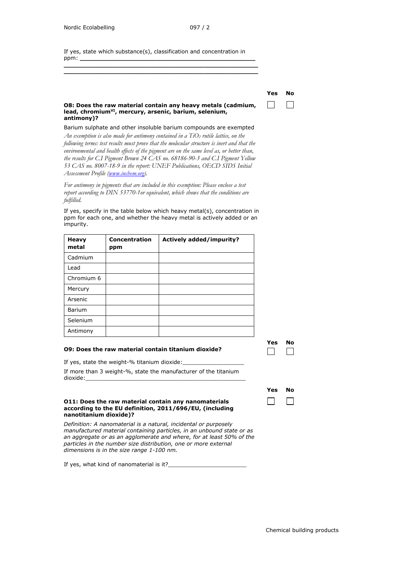If yes, state which substance(s), classification and concentration in ppm: **\_\_\_\_\_\_\_\_\_\_\_\_\_\_\_\_\_\_\_\_\_\_\_\_\_\_\_\_\_\_\_\_\_\_\_\_\_\_\_\_\_\_\_\_\_\_**

**\_\_\_\_\_\_\_\_\_\_\_\_\_\_\_\_\_\_\_\_\_\_\_\_\_\_\_\_\_\_\_\_\_\_\_\_\_\_\_\_\_\_\_\_\_\_\_\_\_\_\_ \_\_\_\_\_\_\_\_\_\_\_\_\_\_\_\_\_\_\_\_\_\_\_\_\_\_\_\_\_\_\_\_\_\_\_\_\_\_\_\_\_\_\_\_\_\_\_\_\_\_\_**

| Y<br>w<br>п<br>ı<br>M.<br>w<br>۰,<br>۰. |
|-----------------------------------------|
|                                         |

| O8: Does the raw material contain any heavy metals (cadmium,       |
|--------------------------------------------------------------------|
| lead, chromium <sup>vI</sup> , mercury, arsenic, barium, selenium, |
| antimony)?                                                         |

Barium sulphate and other insoluble barium compounds are exempted *An exemption is also made for antimony contained in a TiO2 rutile lattice, on the following terms: test results must prove that the molecular structure is inert and that the environmental and health effects of the pigment are on the same level as, or better than, the results for C.I Pigment Brown 24 CAS no. 68186-90-3 and C.I Pigment Yellow 53 CAS no. 8007-18-9 in the report: UNEF Publications, OECD SIDS Initial Assessment Profile [\(www.inchem.org\)](http://www.inchem.org/).*

*For antimony in pigments that are included in this exemption: Please enclose a test report according to DIN 53770-1or equivalent, which shows that the conditions are fulfilled.* 

If yes, specify in the table below which heavy metal(s), concentration in ppm for each one, and whether the heavy metal is actively added or an impurity.

| <b>Heavy</b><br>metal | Concentration<br>ppm | <b>Actively added/impurity?</b> |
|-----------------------|----------------------|---------------------------------|
| Cadmium               |                      |                                 |
| Lead                  |                      |                                 |
| Chromium 6            |                      |                                 |
| Mercury               |                      |                                 |
| Arsenic               |                      |                                 |
| <b>Barium</b>         |                      |                                 |
| Selenium              |                      |                                 |
| Antimony              |                      |                                 |

#### **O9: Does the raw material contain titanium dioxide?**

If yes, state the weight-% titanium dioxide:

If more than 3 weight-%, state the manufacturer of the titanium dioxide:

#### **O11: Does the raw material contain any nanomaterials according to the EU definition, 2011/696/EU, (including nanotitanium dioxide)?**

*Definition: A nanomaterial is a natural, incidental or purposely manufactured material containing particles, in an unbound state or as an aggregate or as an agglomerate and where, for at least 50% of the particles in the number size distribution, one or more external dimensions is in the size range 1-100 nm.*

If yes, what kind of nanomaterial is it?\_

|    | а |
|----|---|
| M. |   |
| ۰. |   |
|    |   |
|    |   |

ſ

| Yes | No |
|-----|----|
|     |    |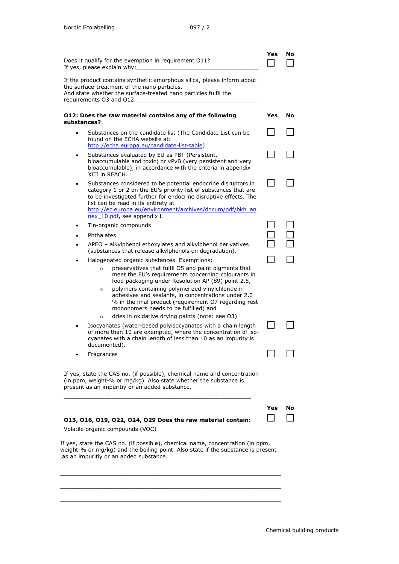|                                                                                                                                                                                                                        | Does it qualify for the exemption in requirement 011?<br>If yes, please explain why:                                                                                                                                                                                                                                                                                                                                                                               | Yes | No |  |
|------------------------------------------------------------------------------------------------------------------------------------------------------------------------------------------------------------------------|--------------------------------------------------------------------------------------------------------------------------------------------------------------------------------------------------------------------------------------------------------------------------------------------------------------------------------------------------------------------------------------------------------------------------------------------------------------------|-----|----|--|
| If the product contains synthetic amorphous silica, please inform about<br>the surface-treatment of the nano particles.<br>And state whether the surface-treated nano particles fulfil the<br>requirements O3 and O12. |                                                                                                                                                                                                                                                                                                                                                                                                                                                                    |     |    |  |
| substances?                                                                                                                                                                                                            | 012: Does the raw material contains any of the following                                                                                                                                                                                                                                                                                                                                                                                                           | Yes | No |  |
| ٠                                                                                                                                                                                                                      | Substances on the candidate list (The Candidate List can be<br>found on the ECHA website at:<br>http://echa.europa.eu/candidate-list-table)                                                                                                                                                                                                                                                                                                                        |     |    |  |
| ٠                                                                                                                                                                                                                      | Substances evaluated by EU as PBT (Persistent,<br>bioaccumulable and toxic) or vPvB (very persistent and very<br>bioaccumulable), in accordance with the criteria in appendix<br>XIII in REACH.                                                                                                                                                                                                                                                                    |     |    |  |
|                                                                                                                                                                                                                        | Substances considered to be potential endocrine disruptors in<br>category 1 or 2 on the EU's priority list of substances that are<br>to be investigated further for endocrine disruptive effects. The<br>list can be read in its entirety at<br>http://ec.europa.eu/environment/archives/docum/pdf/bkh_an<br>nex 10.pdf, see appendix L                                                                                                                            |     |    |  |
| ٠                                                                                                                                                                                                                      | Tin-organic compounds                                                                                                                                                                                                                                                                                                                                                                                                                                              |     |    |  |
|                                                                                                                                                                                                                        | Phthalates                                                                                                                                                                                                                                                                                                                                                                                                                                                         |     |    |  |
|                                                                                                                                                                                                                        | APEO – alkylphenol ethoxylates and alkylphenol derivatives<br>(substances that release alkylphenols on degradation).                                                                                                                                                                                                                                                                                                                                               |     |    |  |
|                                                                                                                                                                                                                        | Halogenated organic substances. Exemptions:                                                                                                                                                                                                                                                                                                                                                                                                                        |     |    |  |
|                                                                                                                                                                                                                        | preservatives that fulfil O5 and paint pigments that<br>$\circ$<br>meet the EU's requirements concerning colourants in<br>food packaging under Resolution AP (89) point 2.5,<br>polymers containing polymerized vinylchloride in<br>$\circ$<br>adhesives and sealants, in concentrations under 2.0<br>% in the final product (requirement O7 regarding rest<br>mononomers needs to be fulfilled) and<br>dries in oxidative drying paints (note: see O3)<br>$\circ$ |     |    |  |
|                                                                                                                                                                                                                        | Isocyanates (water-based polyisocyanates with a chain length<br>of more than 10 are exempted, where the concentration of iso-<br>cyanates with a chain length of less than 10 as an impurity is<br>documented).                                                                                                                                                                                                                                                    |     |    |  |
|                                                                                                                                                                                                                        | Fragrances                                                                                                                                                                                                                                                                                                                                                                                                                                                         |     |    |  |
|                                                                                                                                                                                                                        | If yes, state the CAS no. (if possible), chemical name and concentration<br>(in ppm, weight-% or mg/kg). Also state whether the substance is<br>present as an impuritiy or an added substance.                                                                                                                                                                                                                                                                     |     |    |  |
|                                                                                                                                                                                                                        | 013, 016, 019, 022, 024, 029 Does the raw material contain:                                                                                                                                                                                                                                                                                                                                                                                                        | Yes | No |  |
|                                                                                                                                                                                                                        | Volatile organic compounds (VOC)                                                                                                                                                                                                                                                                                                                                                                                                                                   |     |    |  |
|                                                                                                                                                                                                                        | If yes, state the CAS no. (if possible), chemical name, concentration (in ppm,<br>weight-% or mg/kg) and the boiling point. Also state if the substance is present<br>as an impuritiy or an added substance.                                                                                                                                                                                                                                                       |     |    |  |
|                                                                                                                                                                                                                        |                                                                                                                                                                                                                                                                                                                                                                                                                                                                    |     |    |  |

\_\_\_\_\_\_\_\_\_\_\_\_\_\_\_\_\_\_\_\_\_\_\_\_\_\_\_\_\_\_\_\_\_\_\_\_\_\_\_\_\_\_\_\_\_\_\_\_\_\_\_\_\_\_\_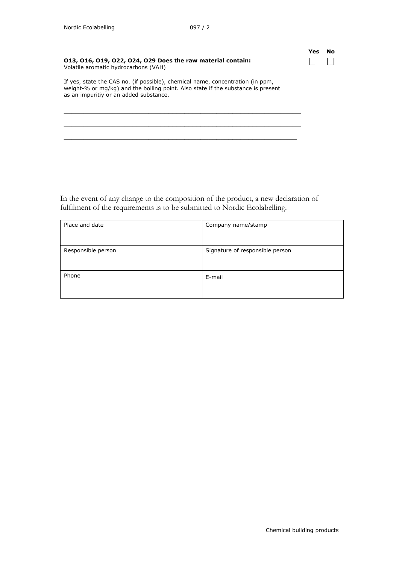| Yes | No |
|-----|----|
|     |    |

| 013, 016, 019, 022, 024, 029 Does the raw material contain: |  |
|-------------------------------------------------------------|--|
| Volatile aromatic hydrocarbons (VAH)                        |  |

If yes, state the CAS no. (if possible), chemical name, concentration (in ppm, weight-% or mg/kg) and the boiling point. Also state if the substance is present as an impuritiy or an added substance.

\_\_\_\_\_\_\_\_\_\_\_\_\_\_\_\_\_\_\_\_\_\_\_\_\_\_\_\_\_\_\_\_\_\_\_\_\_\_\_\_\_\_\_\_\_\_\_\_\_\_\_\_\_\_\_\_\_\_\_ \_\_\_\_\_\_\_\_\_\_\_\_\_\_\_\_\_\_\_\_\_\_\_\_\_\_\_\_\_\_\_\_\_\_\_\_\_\_\_\_\_\_\_\_\_\_\_\_\_\_\_\_\_\_\_\_\_\_\_ \_\_\_\_\_\_\_\_\_\_\_\_\_\_\_\_\_\_\_\_\_\_\_\_\_\_\_\_\_\_\_\_\_\_\_\_\_\_\_\_\_\_\_\_\_\_\_\_\_\_\_\_\_\_\_\_\_\_

In the event of any change to the composition of the product, a new declaration of fulfilment of the requirements is to be submitted to Nordic Ecolabelling.

| Place and date     | Company name/stamp              |
|--------------------|---------------------------------|
| Responsible person | Signature of responsible person |
| Phone              | E-mail                          |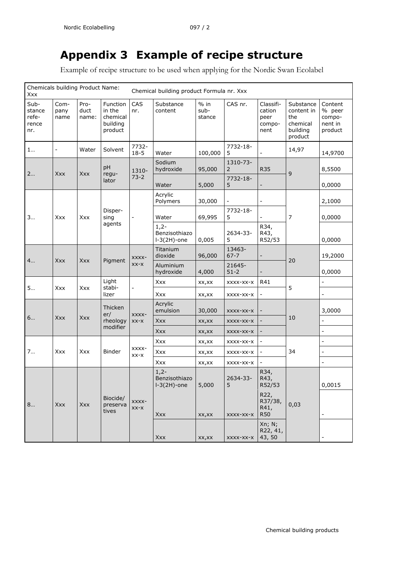## <span id="page-41-0"></span>**Appendix 3 Example of recipe structure**

Example of recipe structure to be used when applying for the Nordic Swan Ecolabel

| Chemicals building Product Name:<br>Xxx |                          |                       |                                                       | Chemical building product Formula nr. Xxx |                                           |                          |                            |                                               |                                                                   |                                                   |
|-----------------------------------------|--------------------------|-----------------------|-------------------------------------------------------|-------------------------------------------|-------------------------------------------|--------------------------|----------------------------|-----------------------------------------------|-------------------------------------------------------------------|---------------------------------------------------|
| Sub-<br>stance<br>refe-<br>rence<br>nr. | Com-<br>pany<br>name     | Pro-<br>duct<br>name: | Function<br>in the<br>chemical<br>building<br>product | CAS<br>nr.                                | Substance<br>content                      | $%$ in<br>sub-<br>stance | CAS nr.                    | Classifi-<br>cation<br>peer<br>compo-<br>nent | Substance<br>content in<br>the<br>chemical<br>building<br>product | Content<br>% peer<br>compo-<br>nent in<br>product |
| 1                                       | $\overline{\phantom{a}}$ | Water                 | Solvent                                               | 7732-<br>$18 - 5$                         | Water                                     | 100,000                  | 7732-18-<br>5              |                                               | 14,97                                                             | 14,9700                                           |
| 2<br>Xxx                                |                          | Xxx                   | pH<br>regu-<br>lator                                  | 1310-<br>$73-2$                           | Sodium<br>hydroxide                       | 95,000                   | 1310-73-<br>$\overline{2}$ | <b>R35</b>                                    | 9                                                                 | 8,5500                                            |
|                                         |                          |                       |                                                       |                                           | Water                                     | 5,000                    | 7732-18-<br>5              |                                               |                                                                   | 0,0000                                            |
| 3                                       | Xxx                      | Xxx                   | Disper-<br>sing<br>agents                             | $\overline{a}$                            | Acrylic<br>Polymers                       | 30,000                   |                            | $\blacksquare$                                | 7                                                                 | 2,1000                                            |
|                                         |                          |                       |                                                       |                                           | Water                                     | 69,995                   | 7732-18-<br>5              |                                               |                                                                   | 0,0000                                            |
|                                         |                          |                       |                                                       |                                           | $1,2-$<br>Benzisothiazo<br>$I-3(2H)$ -one | 0,005                    | 2634-33-<br>5              | R34,<br>R43,<br>R52/53                        |                                                                   | 0,0000                                            |
| 4                                       | Xxx                      | Xxx                   | Pigment                                               | XXXX-<br>$XX-X$                           | Titanium<br>dioxide                       | 96,000                   | 13463-<br>$67 - 7$         |                                               | 20                                                                | 19,2000                                           |
|                                         |                          |                       |                                                       |                                           | Aluminium<br>hydroxide                    | 4,000                    | 21645-<br>$51 - 2$         |                                               |                                                                   | 0,0000                                            |
| 5                                       | Xxx                      | Xxx                   | Light<br>stabi-<br>lizer                              |                                           | Xxx                                       | XX,XX                    | XXXX-XX-X                  | R41                                           | 5                                                                 | $\equiv$                                          |
|                                         |                          |                       |                                                       |                                           | Xxx                                       | XX, XX                   | XXXX-XX-X                  |                                               |                                                                   | $\blacksquare$                                    |
| 6                                       | Xxx                      | Xxx                   | Thicken<br>er/<br>rheology<br>modifier                | XXXX-<br>$XX-X$                           | Acrylic<br>emulsion                       | 30,000                   | XXXX-XX-X                  |                                               | 10                                                                | 3,0000                                            |
|                                         |                          |                       |                                                       |                                           | <b>Xxx</b>                                | XX, XX                   | XXXX-XX-X                  |                                               |                                                                   |                                                   |
|                                         |                          |                       |                                                       |                                           | Xxx                                       | XX,XX                    | XXXX-XX-X                  |                                               |                                                                   | $\overline{\phantom{a}}$                          |
| 7                                       | Xxx                      | Xxx                   | Binder                                                | XXXX-<br>$XX-X$                           | Xxx                                       | XX, XX                   | XXXX-XX-X                  |                                               | 34                                                                | $\equiv$                                          |
|                                         |                          |                       |                                                       |                                           | Xxx                                       | XX,XX                    | XXXX-XX-X                  |                                               |                                                                   | $\blacksquare$                                    |
|                                         |                          |                       |                                                       |                                           | Xxx                                       | XX, XX                   | XXXX-XX-X                  |                                               |                                                                   | $\overline{\phantom{a}}$                          |
| 8                                       | Xxx                      | Xxx                   | Biocide/<br>preserva<br>tives                         | XXXX-<br>$XX-X$                           | $1,2-$<br>Benzisothiazo<br>$I-3(2H)$ -one | 5,000                    | 2634-33-<br>5              | R34,<br>R43,<br>R52/53                        | 0,03                                                              | 0,0015                                            |
|                                         |                          |                       |                                                       |                                           | Xxx                                       | XX,XX                    | XXXX-XX-X                  | R22,<br>R37/38,<br>R41,<br><b>R50</b>         |                                                                   | $\overline{\phantom{a}}$                          |
|                                         |                          |                       |                                                       |                                           | Xxx                                       | XX, XX                   | XXXX-XX-X                  | Xn; N;<br>R22, 41,<br>43, 50                  |                                                                   |                                                   |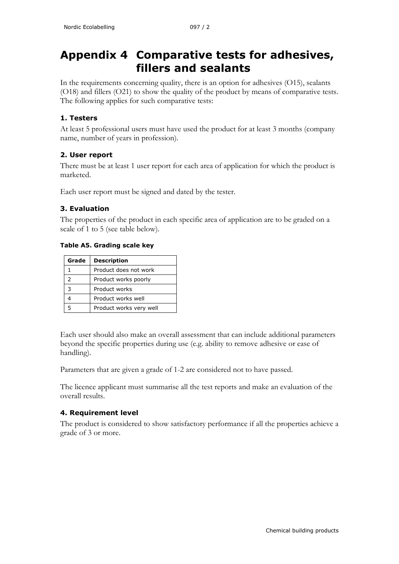<span id="page-42-0"></span>In the requirements concerning quality, there is an option for adhesives (O15), sealants (O18) and fillers (O21) to show the quality of the product by means of comparative tests. The following applies for such comparative tests:

## **1. Testers**

At least 5 professional users must have used the product for at least 3 months (company name, number of years in profession).

### **2. User report**

There must be at least 1 user report for each area of application for which the product is marketed.

Each user report must be signed and dated by the tester.

### **3. Evaluation**

The properties of the product in each specific area of application are to be graded on a scale of 1 to 5 (see table below).

### **Table A5. Grading scale key**

| Grade         | <b>Description</b>      |
|---------------|-------------------------|
|               | Product does not work   |
| $\mathcal{P}$ | Product works poorly    |
| 3             | Product works           |
|               | Product works well      |
|               | Product works very well |

Each user should also make an overall assessment that can include additional parameters beyond the specific properties during use (e.g. ability to remove adhesive or ease of handling).

Parameters that are given a grade of 1-2 are considered not to have passed.

The licence applicant must summarise all the test reports and make an evaluation of the overall results.

### **4. Requirement level**

The product is considered to show satisfactory performance if all the properties achieve a grade of 3 or more.